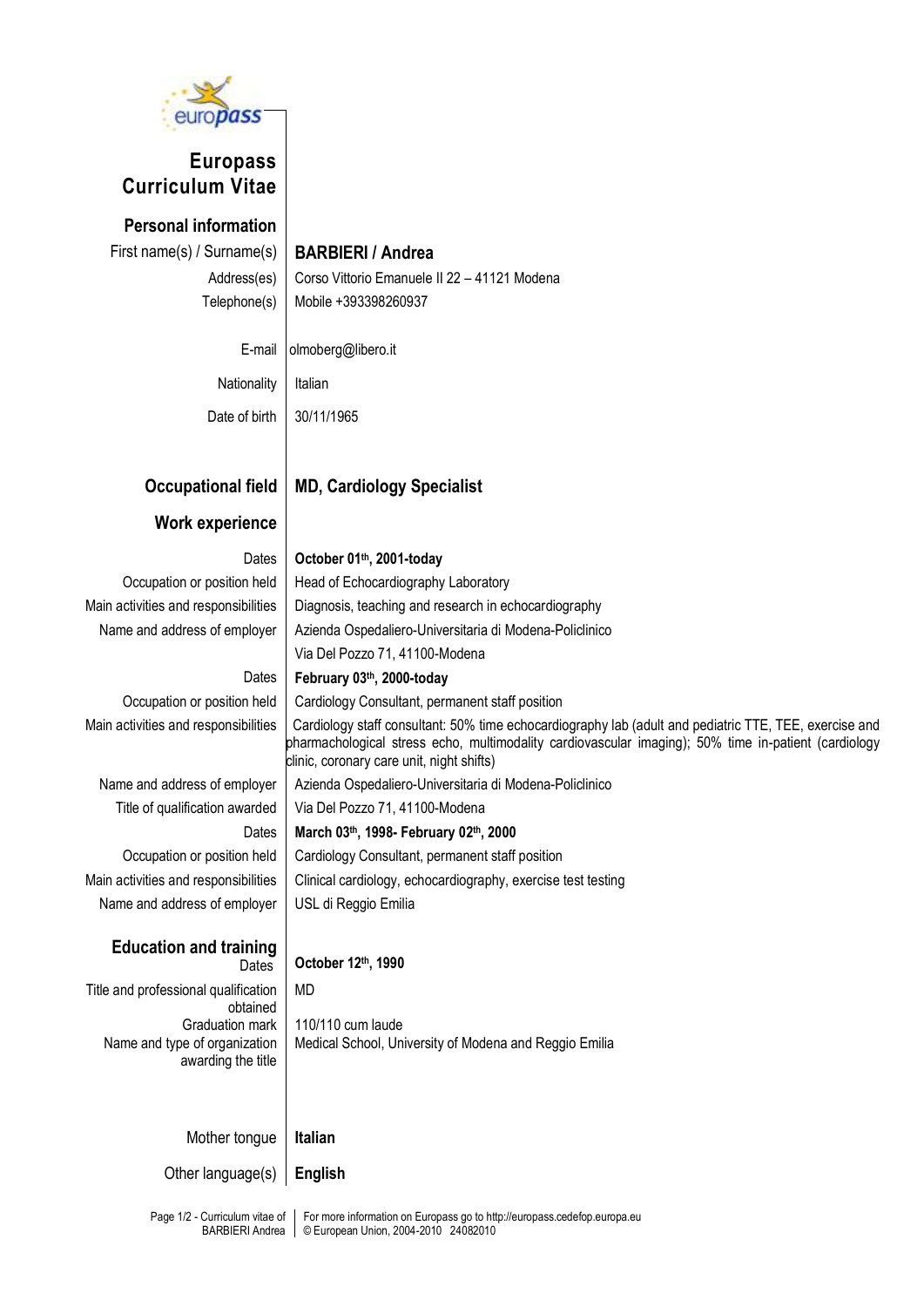

# **Europass Curriculum Vitae**

**Personal information** First name(s) / Surname(s) **BARBIERI / Andrea**

Address(es) Corso Vittorio Emanuele II 22 – 41121 Modena Telephone(s) Mobile +393398260937

E-mail olmoberg@libero.it

Nationality | Italian Date of birth | 30/11/1965

# **Occupational field MD, Cardiology Specialist**

### **Work experience**

Dates **October 01 th, 2001-today**

Occupation or position held | Head of Echocardiography Laboratory Main activities and responsibilities  $\parallel$  Diagnosis, teaching and research in echocardiography Name and address of employer | Azienda Ospedaliero-Universitaria di Modena-Policlinico Via Del Pozzo 71, 41100-Modena

### Dates **February 03 th , 2000-today**

clinic, coronary care unit, night shifts)

Occupation or position held | Cardiology Consultant, permanent staff position

Main activities and responsibilities | Cardiology staff consultant: 50% time echocardiography lab (adult and pediatric TTE, TEE, exercise and pharmachological stress echo, multimodality cardiovascular imaging); 50% time in-patient (cardiology

Name and address of employer | Azienda Ospedaliero-Universitaria di Modena-Policlinico Title of qualification awarded | Via Del Pozzo 71, 41100-Modena Dates **March 03 th , 1998- February 02 th, 2000** Occupation or position held | Cardiology Consultant, permanent staff position Main activities and responsibilities  $\parallel$  Clinical cardiology, echocardiography, exercise test testing Name and address of employer | USL di Reggio Emilia

**Education and training**

## Dates **October 12th, 1990**

Title and professional qualification obtained Graduation mark Name and type of organization awarding the title MD 110/110 cum laude Medical School, University of Modena and Reggio Emilia

Mother tongue **Italian**

Other language(s) **English**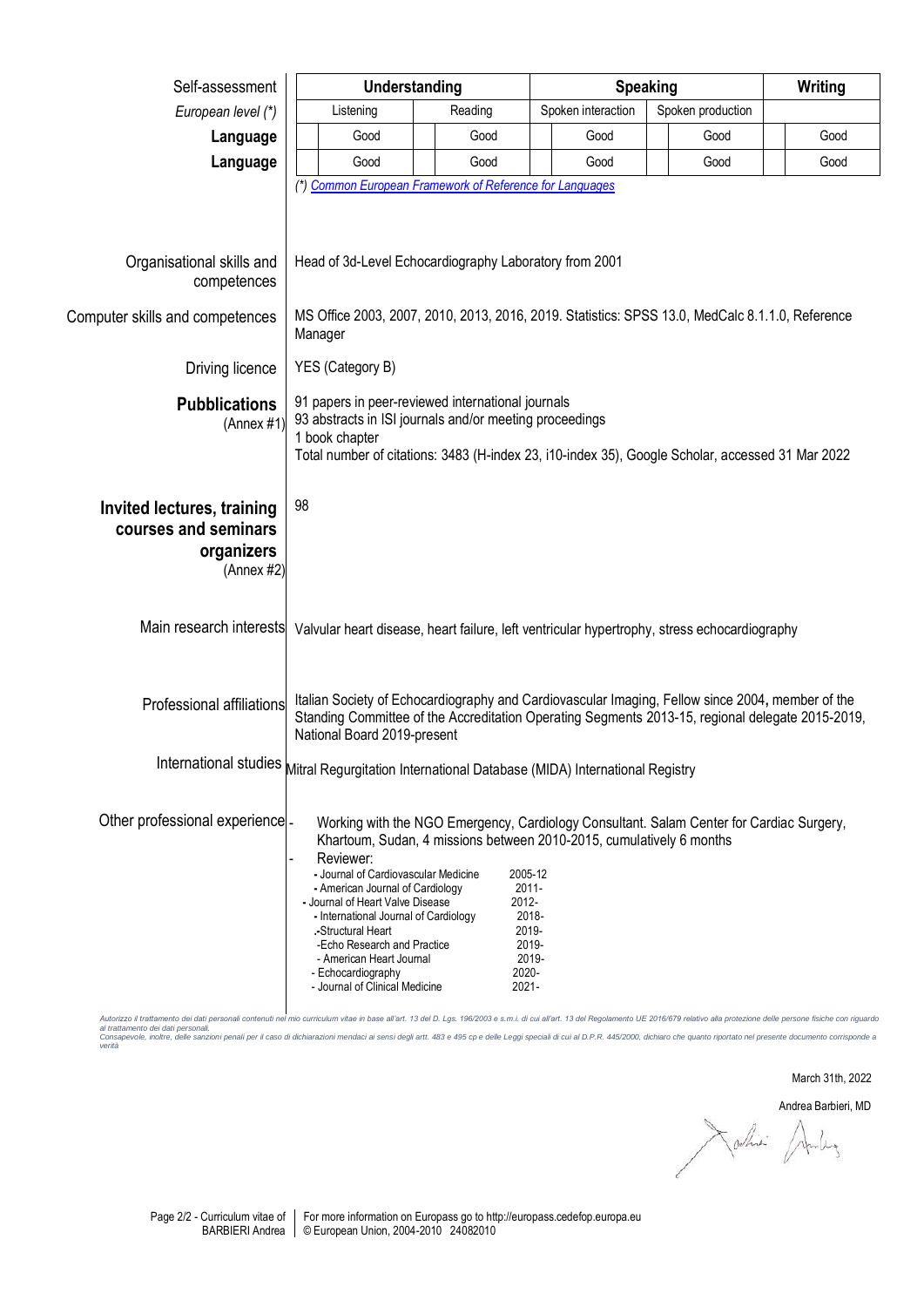| Self-assessment                                                                | Understanding                                                                                                                                                                                                                                                                                             |                         | <b>Speaking</b>                                                                                                                 |                                                                                          | Writing |
|--------------------------------------------------------------------------------|-----------------------------------------------------------------------------------------------------------------------------------------------------------------------------------------------------------------------------------------------------------------------------------------------------------|-------------------------|---------------------------------------------------------------------------------------------------------------------------------|------------------------------------------------------------------------------------------|---------|
| European level (*)                                                             | Listening                                                                                                                                                                                                                                                                                                 | Reading                 | Spoken interaction                                                                                                              | Spoken production                                                                        |         |
| Language                                                                       | Good                                                                                                                                                                                                                                                                                                      | Good                    | Good                                                                                                                            | Good                                                                                     | Good    |
| Language                                                                       | Good                                                                                                                                                                                                                                                                                                      | Good                    | Good                                                                                                                            | Good                                                                                     | Good    |
|                                                                                | (*) Common European Framework of Reference for Languages                                                                                                                                                                                                                                                  |                         |                                                                                                                                 |                                                                                          |         |
| Organisational skills and<br>competences                                       | Head of 3d-Level Echocardiography Laboratory from 2001                                                                                                                                                                                                                                                    |                         |                                                                                                                                 |                                                                                          |         |
| Computer skills and competences                                                | MS Office 2003, 2007, 2010, 2013, 2016, 2019. Statistics: SPSS 13.0, MedCalc 8.1.1.0, Reference<br>Manager                                                                                                                                                                                                |                         |                                                                                                                                 |                                                                                          |         |
| Driving licence                                                                | YES (Category B)                                                                                                                                                                                                                                                                                          |                         |                                                                                                                                 |                                                                                          |         |
| <b>Pubblications</b><br>(Annex #1)                                             | 91 papers in peer-reviewed international journals<br>93 abstracts in ISI journals and/or meeting proceedings<br>1 book chapter<br>Total number of citations: 3483 (H-index 23, i10-index 35), Google Scholar, accessed 31 Mar 2022                                                                        |                         |                                                                                                                                 |                                                                                          |         |
| Invited lectures, training<br>courses and seminars<br>organizers<br>(Annex #2) | 98                                                                                                                                                                                                                                                                                                        |                         |                                                                                                                                 |                                                                                          |         |
|                                                                                | Main research interests Valvular heart disease, heart failure, left ventricular hypertrophy, stress echocardiography                                                                                                                                                                                      |                         |                                                                                                                                 |                                                                                          |         |
| Professional affiliations                                                      | Italian Society of Echocardiography and Cardiovascular Imaging, Fellow since 2004, member of the<br>Standing Committee of the Accreditation Operating Segments 2013-15, regional delegate 2015-2019,<br>National Board 2019-present                                                                       |                         |                                                                                                                                 |                                                                                          |         |
|                                                                                | International studies Mitral Regurgitation International Database (MIDA) International Registry                                                                                                                                                                                                           |                         |                                                                                                                                 |                                                                                          |         |
| Other professional experience -                                                | Reviewer:<br>- Journal of Cardiovascular Medicine<br>- American Journal of Cardiology<br>- Journal of Heart Valve Disease<br>- International Journal of Cardiology<br>Structural Heart<br>-Echo Research and Practice<br>- American Heart Journal<br>- Echocardiography<br>- Journal of Clinical Medicine | 2012-<br>2020-<br>2021- | Khartoum, Sudan, 4 missions between 2010-2015, cumulatively 6 months<br>2005-12<br>$2011 -$<br>2018-<br>2019-<br>2019-<br>2019- | Working with the NGO Emergency, Cardiology Consultant. Salam Center for Cardiac Surgery, |         |

Autorizzo il trattamento dei dati personali contenuti nel mio curriculum vitae in base all'art. 13 del D. Lgs. 196/2003 e s.m.i. di cui all'art. 13 del Regolamento UE 2016/679 relativo alla protezione delle persone fisiche

March 31th, 2022

Andrea Barbieri, MD<br>Colhiei Andrey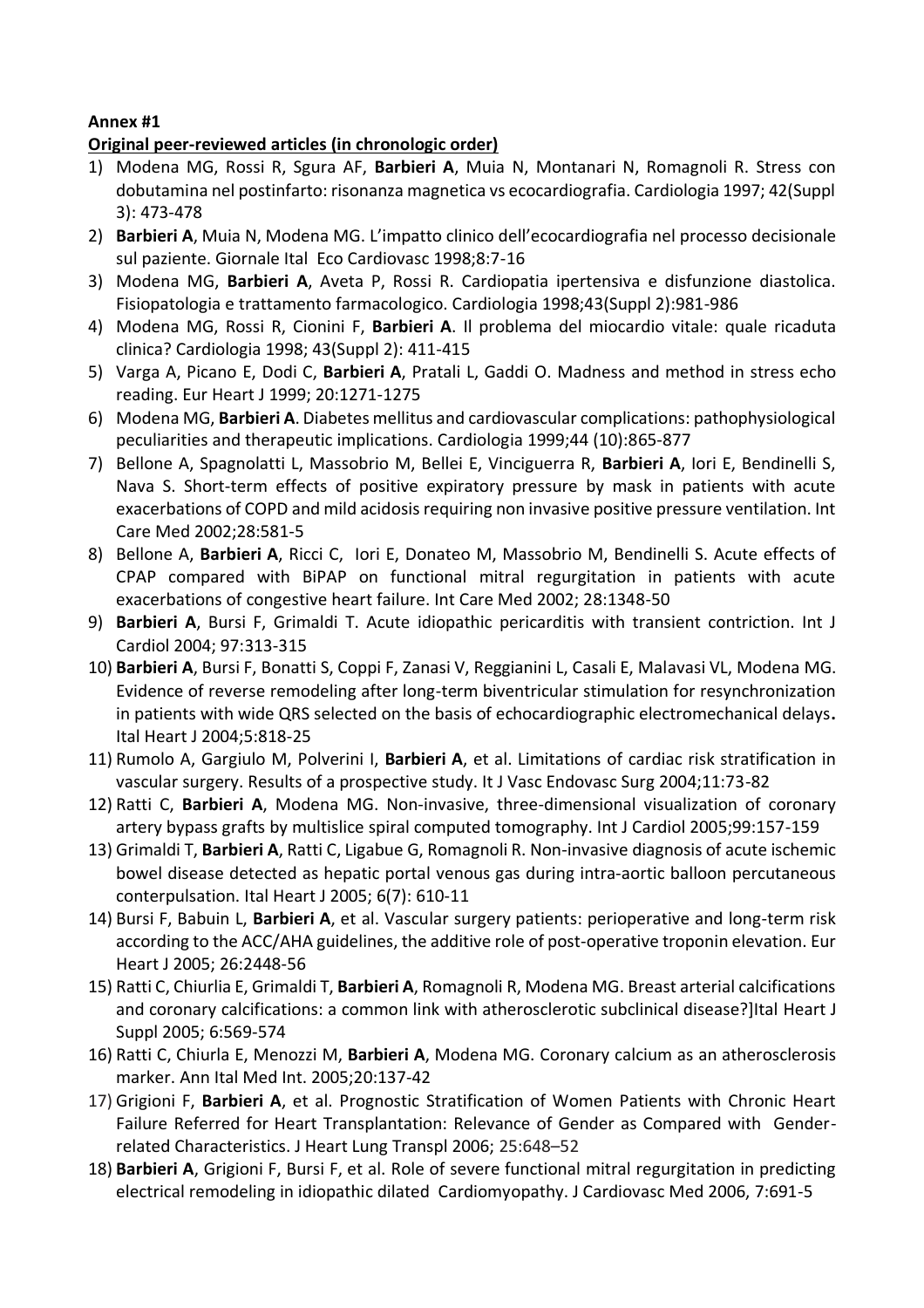### **Annex #1**

### **Original peer-reviewed articles (in chronologic order)**

- 1) Modena MG, Rossi R, Sgura AF, **Barbieri A**, Muia N, Montanari N, Romagnoli R. Stress con dobutamina nel postinfarto: risonanza magnetica vs ecocardiografia. Cardiologia 1997; 42(Suppl 3): 473-478
- 2) **Barbieri A**, Muia N, Modena MG. L'impatto clinico dell'ecocardiografia nel processo decisionale sul paziente. Giornale Ital Eco Cardiovasc 1998;8:7-16
- 3) Modena MG, **Barbieri A**, Aveta P, Rossi R. Cardiopatia ipertensiva e disfunzione diastolica. Fisiopatologia e trattamento farmacologico. Cardiologia 1998;43(Suppl 2):981-986
- 4) Modena MG, Rossi R, Cionini F, **Barbieri A**. Il problema del miocardio vitale: quale ricaduta clinica? Cardiologia 1998; 43(Suppl 2): 411-415
- 5) Varga A, Picano E, Dodi C, **Barbieri A**, Pratali L, Gaddi O. Madness and method in stress echo reading. Eur Heart J 1999; 20:1271-1275
- 6) Modena MG, **Barbieri A**. Diabetes mellitus and cardiovascular complications: pathophysiological peculiarities and therapeutic implications. Cardiologia 1999;44 (10):865-877
- 7) Bellone A, Spagnolatti L, Massobrio M, Bellei E, Vinciguerra R, **Barbieri A**, Iori E, Bendinelli S, Nava S. Short-term effects of positive expiratory pressure by mask in patients with acute exacerbations of COPD and mild acidosis requiring non invasive positive pressure ventilation. Int Care Med 2002;28:581-5
- 8) Bellone A, **Barbieri A**, Ricci C, Iori E, Donateo M, Massobrio M, Bendinelli S. Acute effects of CPAP compared with BiPAP on functional mitral regurgitation in patients with acute exacerbations of congestive heart failure. Int Care Med 2002; 28:1348-50
- 9) **Barbieri A**, Bursi F, Grimaldi T. Acute idiopathic pericarditis with transient contriction. Int J Cardiol 2004; 97:313-315
- 10) **Barbieri A**, Bursi F, Bonatti S, Coppi F, Zanasi V, Reggianini L, Casali E, Malavasi VL, Modena MG. Evidence of reverse remodeling after long-term biventricular stimulation for resynchronization in patients with wide QRS selected on the basis of echocardiographic electromechanical delays**.**  Ital Heart J 2004;5:818-25
- 11) Rumolo A, Gargiulo M, Polverini I, **Barbieri A**, et al. Limitations of cardiac risk stratification in vascular surgery. Results of a prospective study. It J Vasc Endovasc Surg 2004;11:73-82
- 12) Ratti C, **Barbieri A**, Modena MG. Non-invasive, three-dimensional visualization of coronary artery bypass grafts by multislice spiral computed tomography. Int J Cardiol 2005;99:157-159
- 13) Grimaldi T, **Barbieri A**, Ratti C, Ligabue G, Romagnoli R. Non-invasive diagnosis of acute ischemic bowel disease detected as hepatic portal venous gas during intra-aortic balloon percutaneous conterpulsation. Ital Heart J 2005; 6(7): 610-11
- 14) Bursi F, Babuin L, **Barbieri A**, et al. Vascular surgery patients: perioperative and long-term risk according to the ACC/AHA guidelines, the additive role of post-operative troponin elevation. Eur Heart J 2005; 26:2448-56
- 15) Ratti C, Chiurlia E, Grimaldi T, **Barbieri A**, Romagnoli R, Modena MG. Breast arterial calcifications and coronary calcifications: a common link with atherosclerotic subclinical disease?]Ital Heart J Suppl 2005; 6:569-574
- 16) Ratti C, Chiurla E, Menozzi M, **Barbieri A**, Modena MG. Coronary calcium as an atherosclerosis marker. Ann Ital Med Int. 2005;20:137-42
- 17) Grigioni F, **Barbieri A**, et al. Prognostic Stratification of Women Patients with Chronic Heart Failure Referred for Heart Transplantation: Relevance of Gender as Compared with Genderrelated Characteristics. J Heart Lung Transpl 2006; 25:648–52
- 18) **Barbieri A**, Grigioni F, Bursi F, et al. Role of severe functional mitral regurgitation in predicting electrical remodeling in idiopathic dilated Cardiomyopathy. J Cardiovasc Med 2006, 7:691-5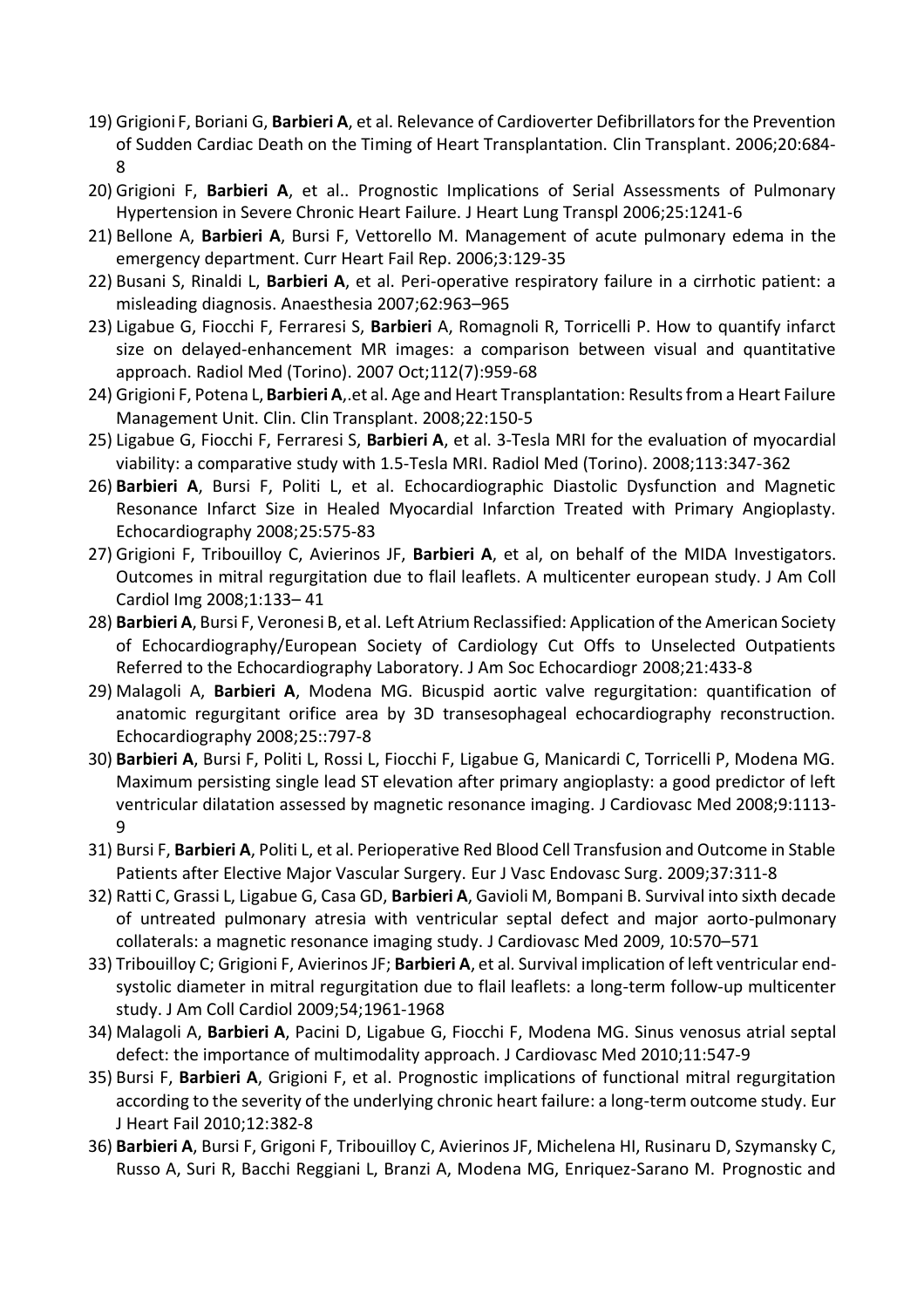- 19) Grigioni F, Boriani G, **Barbieri A**, et al. Relevance of Cardioverter Defibrillators for the Prevention of Sudden Cardiac Death on the Timing of Heart Transplantation. Clin Transplant. 2006;20:684- 8
- 20) Grigioni F, **Barbieri A**, et al.. Prognostic Implications of Serial Assessments of Pulmonary Hypertension in Severe Chronic Heart Failure. J Heart Lung Transpl 2006;25:1241-6
- 21) Bellone A, **Barbieri A**, Bursi F, Vettorello M. Management of acute pulmonary edema in the emergency department. Curr Heart Fail Rep. 2006;3:129-35
- 22) Busani S, Rinaldi L, **Barbieri A**, et al. Peri-operative respiratory failure in a cirrhotic patient: a misleading diagnosis. Anaesthesia 2007;62:963–965
- 23) Ligabue G, Fiocchi F, Ferraresi S, **Barbieri** A, Romagnoli R, Torricelli P. How to quantify infarct size on delayed-enhancement MR images: a comparison between visual and quantitative approach. Radiol Med (Torino). 2007 Oct;112(7):959-68
- 24) Grigioni F, Potena L,**Barbieri A**,.et al. Age and Heart Transplantation: Results from a Heart Failure Management Unit. Clin. Clin Transplant. 2008;22:150-5
- 25) Ligabue G, Fiocchi F, Ferraresi S, **Barbieri A**, et al. 3-Tesla MRI for the evaluation of myocardial viability: a comparative study with 1.5-Tesla MRI. Radiol Med (Torino). 2008;113:347-362
- 26) **Barbieri A**, Bursi F, Politi L, et al. Echocardiographic Diastolic Dysfunction and Magnetic Resonance Infarct Size in Healed Myocardial Infarction Treated with Primary Angioplasty. Echocardiography 2008;25:575-83
- 27) Grigioni F, Tribouilloy C, Avierinos JF, **Barbieri A**, et al, on behalf of the MIDA Investigators. Outcomes in mitral regurgitation due to flail leaflets. A multicenter european study. J Am Coll Cardiol Img 2008;1:133– 41
- 28) **Barbieri A**, Bursi F, Veronesi B, et al. Left Atrium Reclassified: Application of the American Society of Echocardiography/European Society of Cardiology Cut Offs to Unselected Outpatients Referred to the Echocardiography Laboratory. J Am Soc Echocardiogr 2008;21:433-8
- 29) Malagoli A, **Barbieri A**, Modena MG. Bicuspid aortic valve regurgitation: quantification of anatomic regurgitant orifice area by 3D transesophageal echocardiography reconstruction. Echocardiography 2008;25::797-8
- 30) **Barbieri A**, Bursi F, Politi L, Rossi L, Fiocchi F, Ligabue G, Manicardi C, Torricelli P, Modena MG. Maximum persisting single lead ST elevation after primary angioplasty: a good predictor of left ventricular dilatation assessed by magnetic resonance imaging. J Cardiovasc Med 2008;9:1113- 9
- 31) Bursi F, **Barbieri A**, Politi L, et al. Perioperative Red Blood Cell Transfusion and Outcome in Stable Patients after Elective Major Vascular Surgery. Eur J Vasc Endovasc Surg. 2009;37:311-8
- 32) Ratti C, Grassi L, Ligabue G, Casa GD, **Barbieri A**, Gavioli M, Bompani B. Survival into sixth decade of untreated pulmonary atresia with ventricular septal defect and major aorto-pulmonary collaterals: a magnetic resonance imaging study. J Cardiovasc Med 2009, 10:570–571
- 33) Tribouilloy C; Grigioni F, Avierinos JF; **Barbieri A**, et al. Survival implication of left ventricular endsystolic diameter in mitral regurgitation due to flail leaflets: a long-term follow-up multicenter study. J Am Coll Cardiol 2009;54;1961-1968
- 34) Malagoli A, **Barbieri A**, Pacini D, Ligabue G, Fiocchi F, Modena MG. Sinus venosus atrial septal defect: the importance of multimodality approach. J Cardiovasc Med 2010;11:547-9
- 35) Bursi F, **Barbieri A**, Grigioni F, et al. Prognostic implications of functional mitral regurgitation according to the severity of the underlying chronic heart failure: a long-term outcome study. Eur J Heart Fail 2010;12:382-8
- 36) **Barbieri A**, Bursi F, Grigoni F, Tribouilloy C, Avierinos JF, Michelena HI, Rusinaru D, Szymansky C, Russo A, Suri R, Bacchi Reggiani L, Branzi A, Modena MG, Enriquez-Sarano M. Prognostic and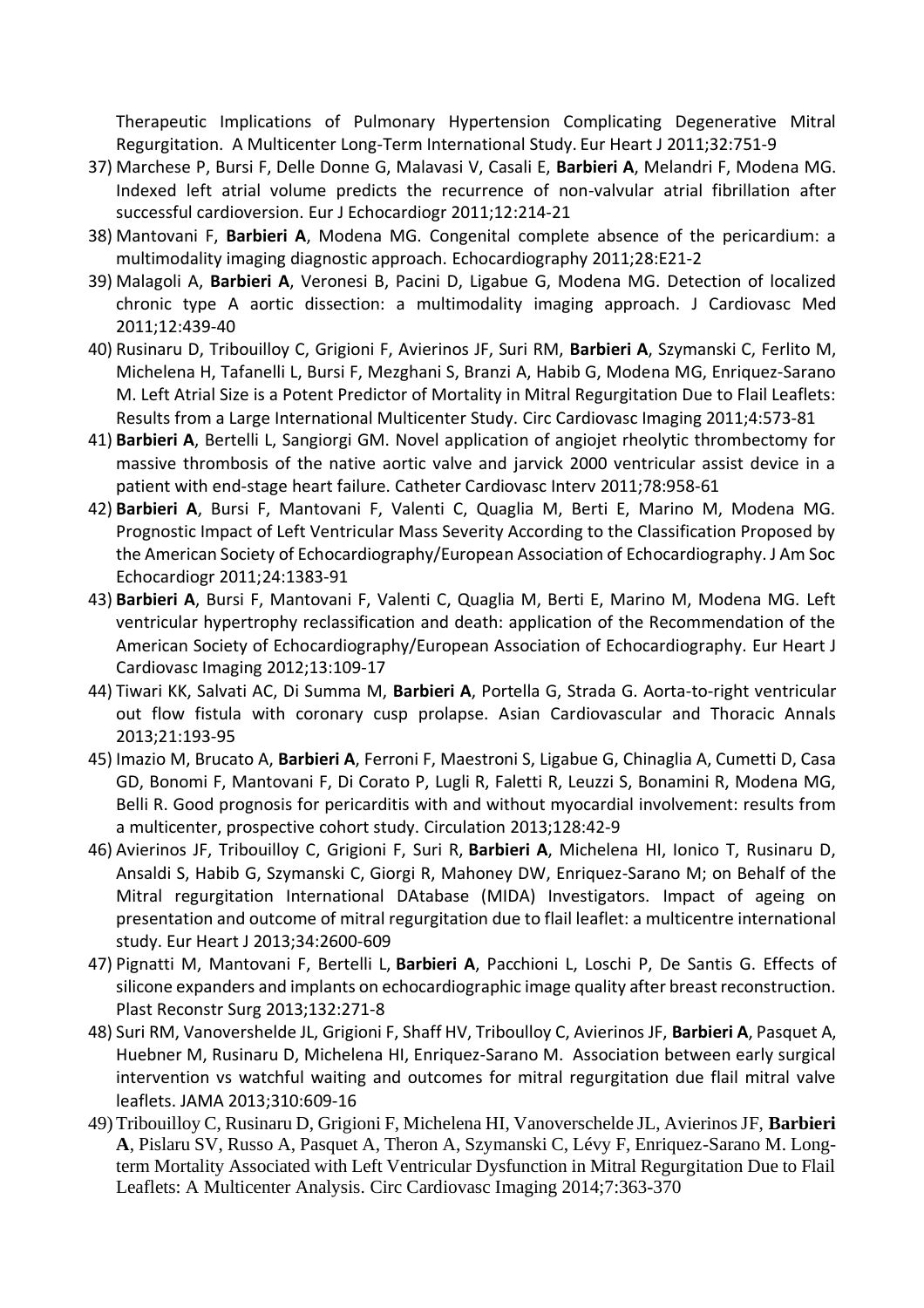Therapeutic Implications of Pulmonary Hypertension Complicating Degenerative Mitral Regurgitation. A Multicenter Long-Term International Study. Eur Heart J 2011;32:751-9

- 37) Marchese P, Bursi F, Delle Donne G, Malavasi V, Casali E, **Barbieri A**, Melandri F, Modena MG. Indexed left atrial volume predicts the recurrence of non-valvular atrial fibrillation after successful cardioversion. Eur J Echocardiogr 2011;12:214-21
- 38) Mantovani F, **Barbieri A**, Modena MG. Congenital complete absence of the pericardium: a multimodality imaging diagnostic approach. Echocardiography 2011;28:E21-2
- 39) Malagoli A, **Barbieri A**, Veronesi B, Pacini D, Ligabue G, Modena MG. Detection of localized chronic type A aortic dissection: a multimodality imaging approach. J Cardiovasc Med 2011;12:439-40
- 40) Rusinaru D, Tribouilloy C, Grigioni F, Avierinos JF, Suri RM, **Barbieri A**, Szymanski C, Ferlito M, Michelena H, Tafanelli L, Bursi F, Mezghani S, Branzi A, Habib G, Modena MG, Enriquez-Sarano M. Left Atrial Size is a Potent Predictor of Mortality in Mitral Regurgitation Due to Flail Leaflets: Results from a Large International Multicenter Study. Circ Cardiovasc Imaging 2011;4:573-81
- 41) **Barbieri A**, Bertelli L, Sangiorgi GM. Novel application of angiojet rheolytic thrombectomy for massive thrombosis of the native aortic valve and jarvick 2000 ventricular assist device in a patient with end-stage heart failure. Catheter Cardiovasc Interv 2011;78:958-61
- 42) **Barbieri A**, Bursi F, Mantovani F, Valenti C, Quaglia M, Berti E, Marino M, Modena MG. Prognostic Impact of Left Ventricular Mass Severity According to the Classification Proposed by the American Society of Echocardiography/European Association of Echocardiography. J Am Soc Echocardiogr 2011;24:1383-91
- 43) **Barbieri A**, Bursi F, Mantovani F, Valenti C, Quaglia M, Berti E, Marino M, Modena MG. Left ventricular hypertrophy reclassification and death: application of the Recommendation of the American Society of Echocardiography/European Association of Echocardiography. Eur Heart J Cardiovasc Imaging 2012;13:109-17
- 44) Tiwari KK, Salvati AC, Di Summa M, **Barbieri A**, Portella G, Strada G. Aorta-to-right ventricular out flow fistula with coronary cusp prolapse. Asian Cardiovascular and Thoracic Annals 2013;21:193-95
- 45) Imazio M, Brucato A, **Barbieri A**, Ferroni F, Maestroni S, Ligabue G, Chinaglia A, Cumetti D, Casa GD, Bonomi F, Mantovani F, Di Corato P, Lugli R, Faletti R, Leuzzi S, Bonamini R, Modena MG, Belli R. Good prognosis for pericarditis with and without myocardial involvement: results from a multicenter, prospective cohort study. Circulation 2013;128:42-9
- 46) Avierinos JF, Tribouilloy C, Grigioni F, Suri R, **Barbieri A**, Michelena HI, Ionico T, Rusinaru D, Ansaldi S, Habib G, Szymanski C, Giorgi R, Mahoney DW, Enriquez-Sarano M; on Behalf of the Mitral regurgitation International DAtabase (MIDA) Investigators. Impact of ageing on presentation and outcome of mitral regurgitation due to flail leaflet: a multicentre international study. Eur Heart J 2013;34:2600-609
- 47) Pignatti M, Mantovani F, Bertelli L, **Barbieri A**, Pacchioni L, Loschi P, De Santis G. Effects of silicone expanders and implants on echocardiographic image quality after breast reconstruction. Plast Reconstr Surg 2013;132:271-8
- 48) Suri RM, Vanovershelde JL, Grigioni F, Shaff HV, Triboulloy C, Avierinos JF, **Barbieri A**, Pasquet A, Huebner M, Rusinaru D, Michelena HI, Enriquez-Sarano M. Association between early surgical intervention vs watchful waiting and outcomes for mitral regurgitation due flail mitral valve leaflets. JAMA 2013;310:609-16
- 49) Tribouilloy C, Rusinaru D, Grigioni F, Michelena HI, Vanoverschelde JL, Avierinos JF, **Barbieri A**, Pislaru SV, Russo A, Pasquet A, Theron A, Szymanski C, Lévy F, Enriquez-Sarano M. Longterm Mortality Associated with Left Ventricular Dysfunction in Mitral Regurgitation Due to Flail Leaflets: A Multicenter Analysis. Circ Cardiovasc Imaging 2014;7:363-370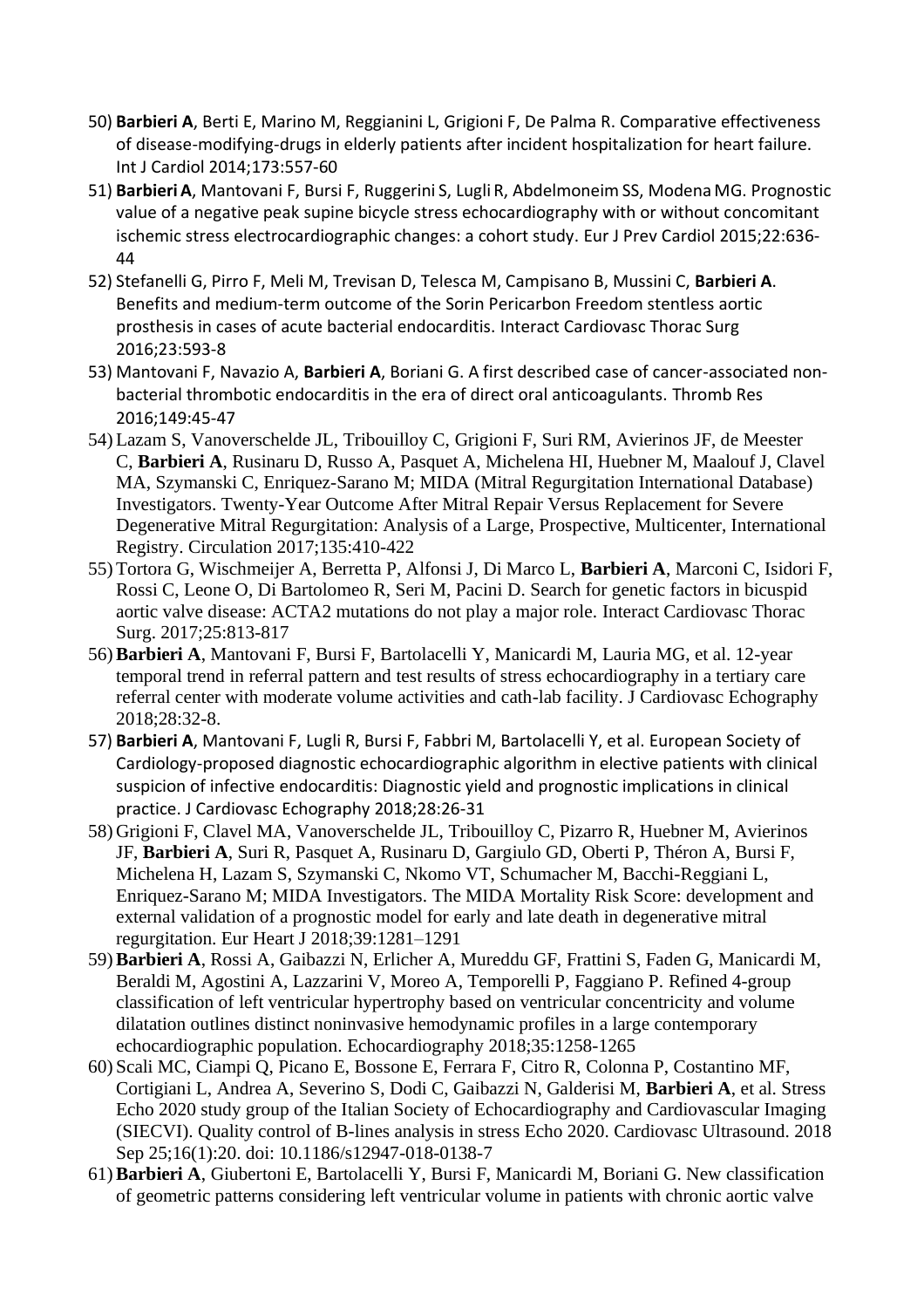- 50) **Barbieri A**, Berti E, Marino M, Reggianini L, Grigioni F, De Palma R. Comparative effectiveness of disease-modifying-drugs in elderly patients after incident hospitalization for heart failure. Int J Cardiol 2014;173:557-60
- 51) **Barbieri A**, Mantovani F, Bursi F, Ruggerini S, Lugli R, Abdelmoneim SS, Modena MG. Prognostic value of a negative peak supine bicycle stress echocardiography with or without concomitant ischemic stress electrocardiographic changes: a cohort study. Eur J Prev Cardiol 2015;22:636- 44
- 52) Stefanelli G, Pirro F, Meli M, Trevisan D, Telesca M, Campisano B, Mussini C, **Barbieri A**. Benefits and medium-term outcome of the Sorin Pericarbon Freedom stentless aortic prosthesis in cases of acute bacterial endocarditis. Interact Cardiovasc Thorac Surg 2016;23:593-8
- 53) Mantovani F, Navazio A, **Barbieri A**, Boriani G. A first described case of cancer-associated nonbacterial thrombotic endocarditis in the era of direct oral anticoagulants. Thromb Res 2016;149:45-47
- 54) Lazam S, Vanoverschelde JL, Tribouilloy C, Grigioni F, Suri RM, Avierinos JF, de Meester C, **Barbieri A**, Rusinaru D, Russo A, Pasquet A, Michelena HI, Huebner M, Maalouf J, Clavel MA, Szymanski C, Enriquez-Sarano M; MIDA (Mitral Regurgitation International Database) Investigators. Twenty-Year Outcome After Mitral Repair Versus Replacement for Severe Degenerative Mitral Regurgitation: Analysis of a Large, Prospective, Multicenter, International Registry. Circulation 2017;135:410-422
- 55) Tortora G, Wischmeijer A, Berretta P, Alfonsi J, Di Marco L, **Barbieri A**, Marconi C, Isidori F, Rossi C, Leone O, Di Bartolomeo R, Seri M, Pacini D. Search for genetic factors in bicuspid aortic valve disease: ACTA2 mutations do not play a major role. Interact Cardiovasc Thorac Surg. 2017;25:813-817
- 56) **Barbieri A**, Mantovani F, Bursi F, Bartolacelli Y, Manicardi M, Lauria MG, et al. 12-year temporal trend in referral pattern and test results of stress echocardiography in a tertiary care referral center with moderate volume activities and cath-lab facility. J Cardiovasc Echography 2018;28:32-8.
- 57) **Barbieri A**, Mantovani F, Lugli R, Bursi F, Fabbri M, Bartolacelli Y, et al. European Society of Cardiology-proposed diagnostic echocardiographic algorithm in elective patients with clinical suspicion of infective endocarditis: Diagnostic yield and prognostic implications in clinical practice. J Cardiovasc Echography 2018;28:26-31
- 58) Grigioni F, Clavel MA, Vanoverschelde JL, Tribouilloy C, Pizarro R, Huebner M, Avierinos JF, **Barbieri A**, Suri R, Pasquet A, Rusinaru D, Gargiulo GD, Oberti P, Théron A, Bursi F, Michelena H, Lazam S, Szymanski C, Nkomo VT, Schumacher M, Bacchi-Reggiani L, Enriquez-Sarano M; MIDA Investigators. The MIDA Mortality Risk Score: development and external validation of a prognostic model for early and late death in degenerative mitral regurgitation. Eur Heart J 2018;39:1281–1291
- 59) **Barbieri A**, Rossi A, Gaibazzi N, Erlicher A, Mureddu GF, Frattini S, Faden G, Manicardi M, Beraldi M, Agostini A, Lazzarini V, Moreo A, Temporelli P, Faggiano P. Refined 4-group classification of left ventricular hypertrophy based on ventricular concentricity and volume dilatation outlines distinct noninvasive hemodynamic profiles in a large contemporary echocardiographic population. Echocardiography 2018;35:1258-1265
- 60) Scali MC, Ciampi Q, Picano E, Bossone E, Ferrara F, Citro R, Colonna P, Costantino MF, Cortigiani L, Andrea A, Severino S, Dodi C, Gaibazzi N, Galderisi M, **Barbieri A**, et al. Stress Echo 2020 study group of the Italian Society of Echocardiography and Cardiovascular Imaging (SIECVI). Quality control of B-lines analysis in stress Echo 2020. Cardiovasc Ultrasound. 2018 Sep 25;16(1):20. doi: 10.1186/s12947-018-0138-7
- 61) **Barbieri A**, Giubertoni E, Bartolacelli Y, Bursi F, Manicardi M, Boriani G. New classification of geometric patterns considering left ventricular volume in patients with chronic aortic valve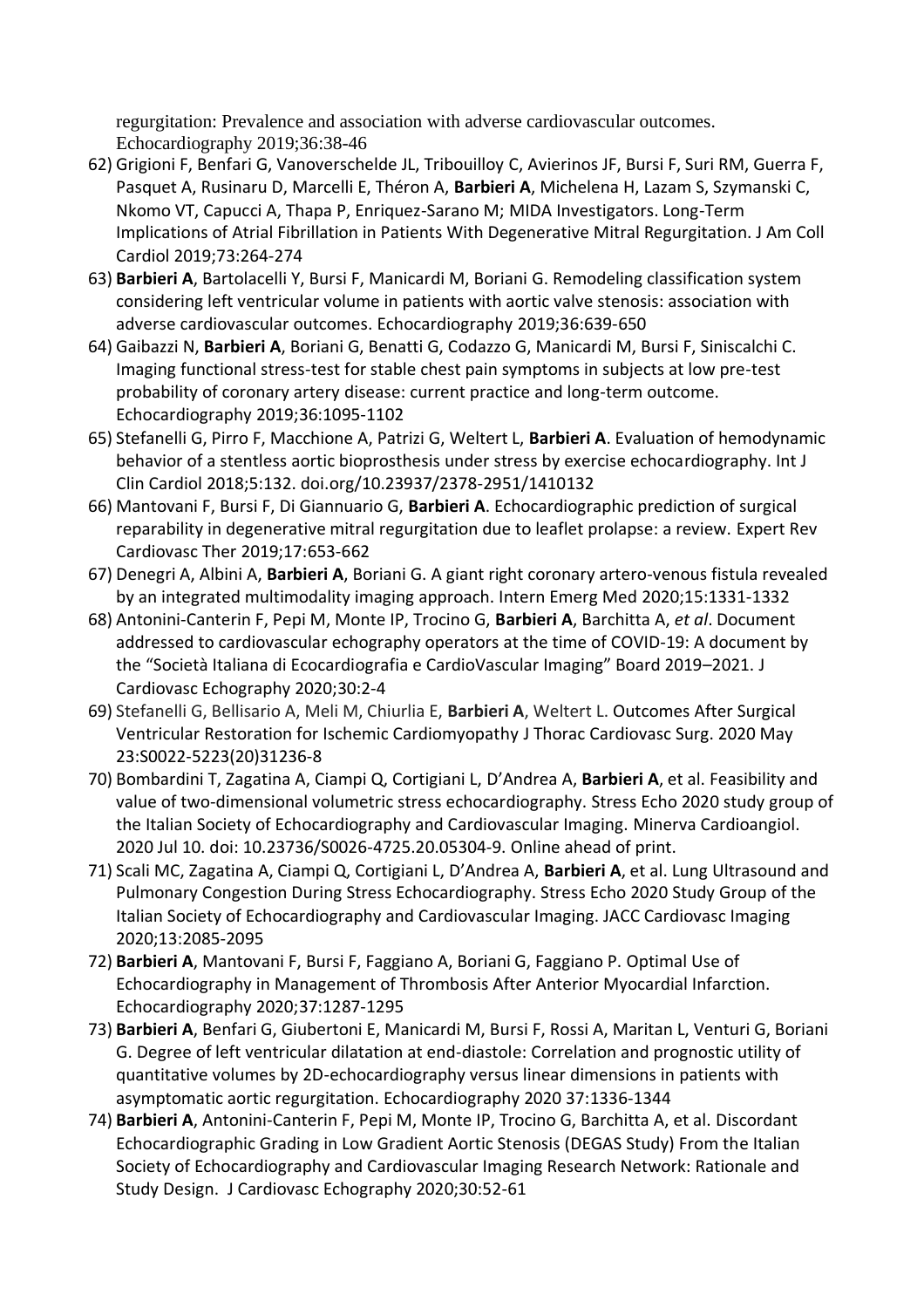regurgitation: Prevalence and association with adverse cardiovascular outcomes. Echocardiography 2019;36:38-46

- 62) Grigioni F, Benfari G, Vanoverschelde JL, Tribouilloy C, Avierinos JF, Bursi F, Suri RM, Guerra F, Pasquet A, Rusinaru D, Marcelli E, Théron A, **Barbieri A**, Michelena H, Lazam S, Szymanski C, Nkomo VT, Capucci A, Thapa P, Enriquez-Sarano M; MIDA Investigators. Long-Term Implications of Atrial Fibrillation in Patients With Degenerative Mitral Regurgitation. J Am Coll Cardiol 2019;73:264-274
- 63) **Barbieri A**, Bartolacelli Y, Bursi F, Manicardi M, Boriani G. Remodeling classification system considering left ventricular volume in patients with aortic valve stenosis: association with adverse cardiovascular outcomes. Echocardiography 2019;36:639-650
- 64) Gaibazzi N, **Barbieri A**, Boriani G, Benatti G, Codazzo G, Manicardi M, Bursi F, Siniscalchi C. Imaging functional stress-test for stable chest pain symptoms in subjects at low pre-test probability of coronary artery disease: current practice and long-term outcome. Echocardiography 2019;36:1095-1102
- 65) Stefanelli G, Pirro F, Macchione A, Patrizi G, Weltert L, **Barbieri A**. Evaluation of hemodynamic behavior of a stentless aortic bioprosthesis under stress by exercise echocardiography. Int J Clin Cardiol 2018;5:132. doi.org/10.23937/2378-2951/1410132
- 66) Mantovani F, Bursi F, Di Giannuario G, **Barbieri A**. Echocardiographic prediction of surgical reparability in degenerative mitral regurgitation due to leaflet prolapse: a review. Expert Rev Cardiovasc Ther 2019;17:653-662
- 67) Denegri A, Albini A, **Barbieri A**, Boriani G. A giant right coronary artero-venous fistula revealed by an integrated multimodality imaging approach. Intern Emerg Med 2020;15:1331-1332
- 68) Antonini‐Canterin F, Pepi M, Monte IP, Trocino G, **Barbieri A**, Barchitta A, *et al*. Document addressed to cardiovascular echography operators at the time of COVID‐19: A document by the "Società Italiana di Ecocardiografia e CardioVascular Imaging" Board 2019–2021. J Cardiovasc Echography 2020;30:2‐4
- 69) Stefanelli G, Bellisario A, Meli M, Chiurlia E, **Barbieri A**, Weltert L. Outcomes After Surgical Ventricular Restoration for Ischemic Cardiomyopathy J Thorac Cardiovasc Surg. 2020 May 23:S0022-5223(20)31236-8
- 70) Bombardini T, Zagatina A, Ciampi Q, Cortigiani L, D'Andrea A, **Barbieri A**, et al. Feasibility and value of two-dimensional volumetric stress echocardiography. Stress Echo 2020 study group of the Italian Society of Echocardiography and Cardiovascular Imaging. Minerva Cardioangiol. 2020 Jul 10. doi: 10.23736/S0026-4725.20.05304-9. Online ahead of print.
- 71) Scali MC, Zagatina A, Ciampi Q, Cortigiani L, D'Andrea A, **Barbieri A**, et al. Lung Ultrasound and Pulmonary Congestion During Stress Echocardiography. Stress Echo 2020 Study Group of the Italian Society of Echocardiography and Cardiovascular Imaging. JACC Cardiovasc Imaging 2020;13:2085-2095
- 72) **Barbieri A**, Mantovani F, Bursi F, Faggiano A, Boriani G, Faggiano P. Optimal Use of Echocardiography in Management of Thrombosis After Anterior Myocardial Infarction. Echocardiography 2020;37:1287-1295
- 73) **Barbieri A**, Benfari G, Giubertoni E, Manicardi M, Bursi F, Rossi A, Maritan L, Venturi G, Boriani G. Degree of left ventricular dilatation at end-diastole: Correlation and prognostic utility of quantitative volumes by 2D-echocardiography versus linear dimensions in patients with asymptomatic aortic regurgitation. Echocardiography 2020 37:1336-1344
- 74) **Barbieri A**, Antonini-Canterin F, Pepi M, Monte IP, Trocino G, Barchitta A, et al. Discordant Echocardiographic Grading in Low Gradient Aortic Stenosis (DEGAS Study) From the Italian Society of Echocardiography and Cardiovascular Imaging Research Network: Rationale and Study Design. J Cardiovasc Echography 2020;30:52-61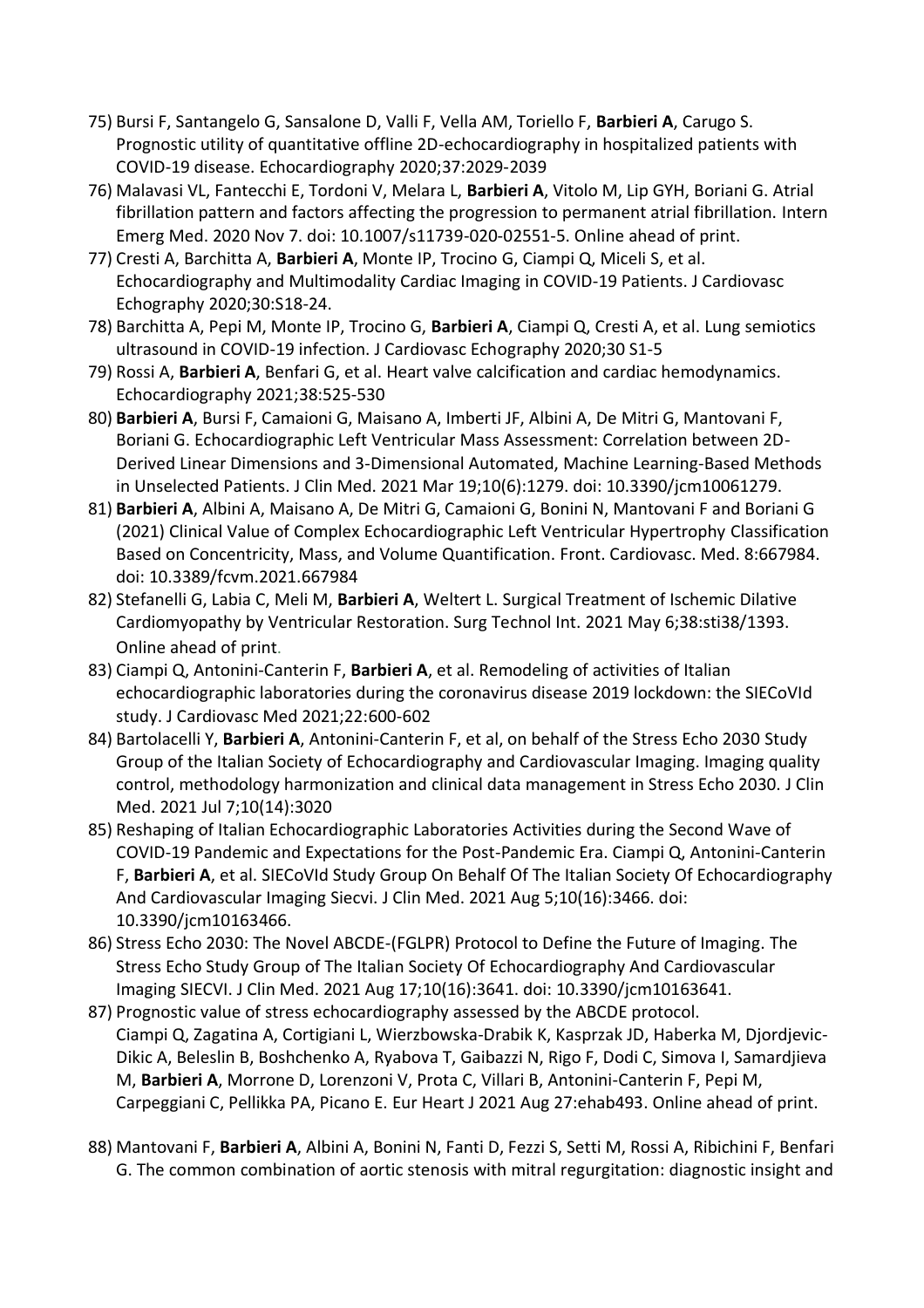- 75) Bursi F, Santangelo G, Sansalone D, Valli F, Vella AM, Toriello F, **Barbieri A**, Carugo S. Prognostic utility of quantitative offline 2D-echocardiography in hospitalized patients with COVID-19 disease. Echocardiography 2020;37:2029-2039
- 76) Malavasi VL, Fantecchi E, Tordoni V, Melara L, **Barbieri A**, Vitolo M, Lip GYH, Boriani G. Atrial fibrillation pattern and factors affecting the progression to permanent atrial fibrillation. Intern Emerg Med. 2020 Nov 7. doi: 10.1007/s11739-020-02551-5. Online ahead of print.
- 77) Cresti A, Barchitta A, **Barbieri A**, Monte IP, Trocino G, Ciampi Q, Miceli S, et al. Echocardiography and Multimodality Cardiac Imaging in COVID-19 Patients. J Cardiovasc Echography 2020;30:S18-24.
- 78) Barchitta A, Pepi M, Monte IP, Trocino G, **Barbieri A**, Ciampi Q, Cresti A, et al. Lung semiotics ultrasound in COVID-19 infection. J Cardiovasc Echography 2020;30 S1-5
- 79) Rossi A, **Barbieri A**, Benfari G, et al. Heart valve calcification and cardiac hemodynamics. Echocardiography 2021;38:525-530
- 80) **Barbieri A**, Bursi F, Camaioni G, Maisano A, Imberti JF, Albini A, De Mitri G, Mantovani F, Boriani G. Echocardiographic Left Ventricular Mass Assessment: Correlation between 2D-Derived Linear Dimensions and 3-Dimensional Automated, Machine Learning-Based Methods in Unselected Patients. J Clin Med. 2021 Mar 19;10(6):1279. doi: 10.3390/jcm10061279.
- 81) **Barbieri A**, Albini A, Maisano A, De Mitri G, Camaioni G, Bonini N, Mantovani F and Boriani G (2021) Clinical Value of Complex Echocardiographic Left Ventricular Hypertrophy Classification Based on Concentricity, Mass, and Volume Quantification. Front. Cardiovasc. Med. 8:667984. doi: 10.3389/fcvm.2021.667984
- 82) Stefanelli G, Labia C, Meli M, **Barbieri A**, Weltert L. Surgical Treatment of Ischemic Dilative Cardiomyopathy by Ventricular Restoration. Surg Technol Int. 2021 May 6;38:sti38/1393. Online ahead of print.
- 83) Ciampi Q, Antonini-Canterin F, **Barbieri A**, et al. Remodeling of activities of Italian echocardiographic laboratories during the coronavirus disease 2019 lockdown: the SIECoVId study. J Cardiovasc Med 2021;22:600-602
- 84) Bartolacelli Y, **Barbieri A**, Antonini-Canterin F, et al, on behalf of the Stress Echo 2030 Study Group of the Italian Society of Echocardiography and Cardiovascular Imaging. Imaging quality control, methodology harmonization and clinical data management in Stress Echo 2030. J Clin Med. 2021 Jul 7;10(14):3020
- 85) Reshaping of Italian Echocardiographic Laboratories Activities during the Second Wave of COVID-19 Pandemic and Expectations for the Post-Pandemic Era. Ciampi Q, Antonini-Canterin F, **Barbieri A**, et al. SIECoVId Study Group On Behalf Of The Italian Society Of Echocardiography And Cardiovascular Imaging Siecvi. J Clin Med. 2021 Aug 5;10(16):3466. doi: 10.3390/jcm10163466.
- 86) Stress Echo 2030: The Novel ABCDE-(FGLPR) Protocol to Define the Future of Imaging. The Stress Echo Study Group of The Italian Society Of Echocardiography And Cardiovascular Imaging SIECVI. J Clin Med. 2021 Aug 17;10(16):3641. doi: 10.3390/jcm10163641.
- 87) Prognostic value of stress echocardiography assessed by the ABCDE protocol. Ciampi Q, Zagatina A, Cortigiani L, Wierzbowska-Drabik K, Kasprzak JD, Haberka M, Djordjevic-Dikic A, Beleslin B, Boshchenko A, Ryabova T, Gaibazzi N, Rigo F, Dodi C, Simova I, Samardjieva M, **Barbieri A**, Morrone D, Lorenzoni V, Prota C, Villari B, Antonini-Canterin F, Pepi M, Carpeggiani C, Pellikka PA, Picano E. Eur Heart J 2021 Aug 27:ehab493. Online ahead of print.
- 88) Mantovani F, **Barbieri A**, Albini A, Bonini N, Fanti D, Fezzi S, Setti M, Rossi A, Ribichini F, Benfari G. The common combination of aortic stenosis with mitral regurgitation: diagnostic insight and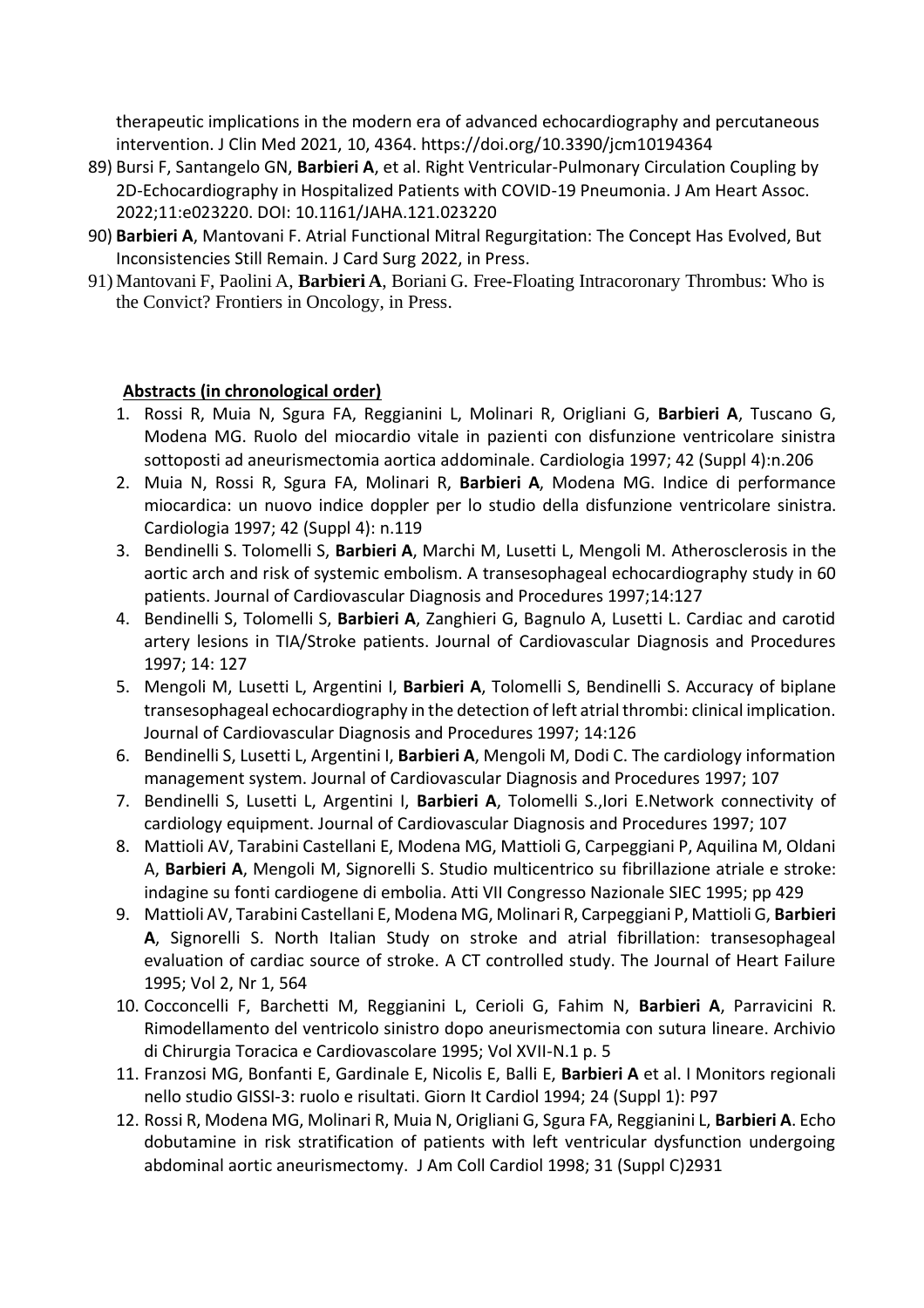therapeutic implications in the modern era of advanced echocardiography and percutaneous intervention. J Clin Med 2021, 10, 4364. https://doi.org/10.3390/jcm10194364

- 89) Bursi F, Santangelo GN, **Barbieri A**, et al. Right Ventricular-Pulmonary Circulation Coupling by 2D-Echocardiography in Hospitalized Patients with COVID-19 Pneumonia. J Am Heart Assoc. 2022;11:e023220. DOI: 10.1161/JAHA.121.023220
- 90) **Barbieri A**, Mantovani F. Atrial Functional Mitral Regurgitation: The Concept Has Evolved, But Inconsistencies Still Remain. J Card Surg 2022, in Press.
- 91) Mantovani F, Paolini A, **Barbieri A**, Boriani G. Free-Floating Intracoronary Thrombus: Who is the Convict? Frontiers in Oncology, in Press.

## **Abstracts (in chronological order)**

- 1. Rossi R, Muia N, Sgura FA, Reggianini L, Molinari R, Origliani G, **Barbieri A**, Tuscano G, Modena MG. Ruolo del miocardio vitale in pazienti con disfunzione ventricolare sinistra sottoposti ad aneurismectomia aortica addominale. Cardiologia 1997; 42 (Suppl 4):n.206
- 2. Muia N, Rossi R, Sgura FA, Molinari R, **Barbieri A**, Modena MG. Indice di performance miocardica: un nuovo indice doppler per lo studio della disfunzione ventricolare sinistra. Cardiologia 1997; 42 (Suppl 4): n.119
- 3. Bendinelli S. Tolomelli S, **Barbieri A**, Marchi M, Lusetti L, Mengoli M. Atherosclerosis in the aortic arch and risk of systemic embolism. A transesophageal echocardiography study in 60 patients. Journal of Cardiovascular Diagnosis and Procedures 1997;14:127
- 4. Bendinelli S, Tolomelli S, **Barbieri A**, Zanghieri G, Bagnulo A, Lusetti L. Cardiac and carotid artery lesions in TIA/Stroke patients. Journal of Cardiovascular Diagnosis and Procedures 1997; 14: 127
- 5. Mengoli M, Lusetti L, Argentini I, **Barbieri A**, Tolomelli S, Bendinelli S. Accuracy of biplane transesophageal echocardiography in the detection of left atrial thrombi: clinical implication. Journal of Cardiovascular Diagnosis and Procedures 1997; 14:126
- 6. Bendinelli S, Lusetti L, Argentini I, **Barbieri A**, Mengoli M, Dodi C. The cardiology information management system. Journal of Cardiovascular Diagnosis and Procedures 1997; 107
- 7. Bendinelli S, Lusetti L, Argentini I, **Barbieri A**, Tolomelli S.,Iori E.Network connectivity of cardiology equipment. Journal of Cardiovascular Diagnosis and Procedures 1997; 107
- 8. Mattioli AV, Tarabini Castellani E, Modena MG, Mattioli G, Carpeggiani P, Aquilina M, Oldani A, **Barbieri A**, Mengoli M, Signorelli S. Studio multicentrico su fibrillazione atriale e stroke: indagine su fonti cardiogene di embolia. Atti VII Congresso Nazionale SIEC 1995; pp 429
- 9. Mattioli AV, Tarabini Castellani E, Modena MG, Molinari R, Carpeggiani P, Mattioli G, **Barbieri A**, Signorelli S. North Italian Study on stroke and atrial fibrillation: transesophageal evaluation of cardiac source of stroke. A CT controlled study. The Journal of Heart Failure 1995; Vol 2, Nr 1, 564
- 10. Cocconcelli F, Barchetti M, Reggianini L, Cerioli G, Fahim N, **Barbieri A**, Parravicini R. Rimodellamento del ventricolo sinistro dopo aneurismectomia con sutura lineare. Archivio di Chirurgia Toracica e Cardiovascolare 1995; Vol XVII-N.1 p. 5
- 11. Franzosi MG, Bonfanti E, Gardinale E, Nicolis E, Balli E, **Barbieri A** et al. I Monitors regionali nello studio GISSI-3: ruolo e risultati. Giorn It Cardiol 1994; 24 (Suppl 1): P97
- 12. Rossi R, Modena MG, Molinari R, Muia N, Origliani G, Sgura FA, Reggianini L, **Barbieri A**. Echo dobutamine in risk stratification of patients with left ventricular dysfunction undergoing abdominal aortic aneurismectomy. J Am Coll Cardiol 1998; 31 (Suppl C)2931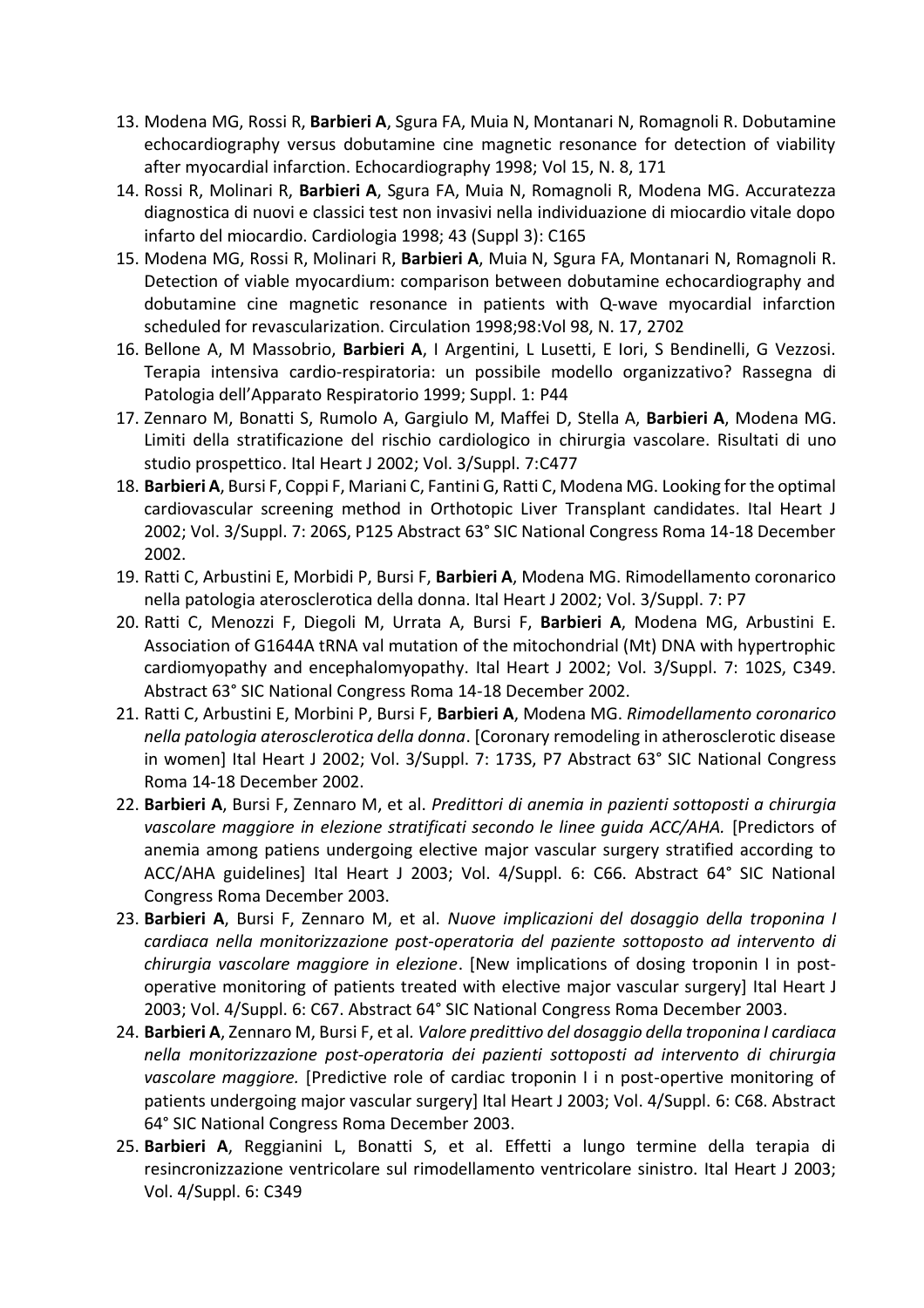- 13. Modena MG, Rossi R, **Barbieri A**, Sgura FA, Muia N, Montanari N, Romagnoli R. Dobutamine echocardiography versus dobutamine cine magnetic resonance for detection of viability after myocardial infarction. Echocardiography 1998; Vol 15, N. 8, 171
- 14. Rossi R, Molinari R, **Barbieri A**, Sgura FA, Muia N, Romagnoli R, Modena MG. Accuratezza diagnostica di nuovi e classici test non invasivi nella individuazione di miocardio vitale dopo infarto del miocardio. Cardiologia 1998; 43 (Suppl 3): C165
- 15. Modena MG, Rossi R, Molinari R, **Barbieri A**, Muia N, Sgura FA, Montanari N, Romagnoli R. Detection of viable myocardium: comparison between dobutamine echocardiography and dobutamine cine magnetic resonance in patients with Q-wave myocardial infarction scheduled for revascularization. Circulation 1998;98:Vol 98, N. 17, 2702
- 16. Bellone A, M Massobrio, **Barbieri A**, I Argentini, L Lusetti, E Iori, S Bendinelli, G Vezzosi. Terapia intensiva cardio-respiratoria: un possibile modello organizzativo? Rassegna di Patologia dell'Apparato Respiratorio 1999; Suppl. 1: P44
- 17. Zennaro M, Bonatti S, Rumolo A, Gargiulo M, Maffei D, Stella A, **Barbieri A**, Modena MG. Limiti della stratificazione del rischio cardiologico in chirurgia vascolare. Risultati di uno studio prospettico. Ital Heart J 2002; Vol. 3/Suppl. 7:C477
- 18. **Barbieri A**, Bursi F, Coppi F, Mariani C, Fantini G, Ratti C, Modena MG. Looking for the optimal cardiovascular screening method in Orthotopic Liver Transplant candidates. Ital Heart J 2002; Vol. 3/Suppl. 7: 206S, P125 Abstract 63° SIC National Congress Roma 14-18 December 2002.
- 19. Ratti C, Arbustini E, Morbidi P, Bursi F, **Barbieri A**, Modena MG. Rimodellamento coronarico nella patologia aterosclerotica della donna. Ital Heart J 2002; Vol. 3/Suppl. 7: P7
- 20. Ratti C, Menozzi F, Diegoli M, Urrata A, Bursi F, **Barbieri A**, Modena MG, Arbustini E. Association of G1644A tRNA val mutation of the mitochondrial (Mt) DNA with hypertrophic cardiomyopathy and encephalomyopathy. Ital Heart J 2002; Vol. 3/Suppl. 7: 102S, C349. Abstract 63° SIC National Congress Roma 14-18 December 2002.
- 21. Ratti C, Arbustini E, Morbini P, Bursi F, **Barbieri A**, Modena MG. *Rimodellamento coronarico nella patologia aterosclerotica della donna*. [Coronary remodeling in atherosclerotic disease in women] Ital Heart J 2002; Vol. 3/Suppl. 7: 173S, P7 Abstract 63° SIC National Congress Roma 14-18 December 2002.
- 22. **Barbieri A**, Bursi F, Zennaro M, et al. *Predittori di anemia in pazienti sottoposti a chirurgia vascolare maggiore in elezione stratificati secondo le linee guida ACC/AHA.* [Predictors of anemia among patiens undergoing elective major vascular surgery stratified according to ACC/AHA guidelines] Ital Heart J 2003; Vol. 4/Suppl. 6: C66. Abstract 64° SIC National Congress Roma December 2003.
- 23. **Barbieri A**, Bursi F, Zennaro M, et al. *Nuove implicazioni del dosaggio della troponina I cardiaca nella monitorizzazione post-operatoria del paziente sottoposto ad intervento di chirurgia vascolare maggiore in elezione*. [New implications of dosing troponin I in postoperative monitoring of patients treated with elective major vascular surgery] Ital Heart J 2003; Vol. 4/Suppl. 6: C67. Abstract 64° SIC National Congress Roma December 2003.
- 24. **Barbieri A**, Zennaro M, Bursi F, et al*. Valore predittivo del dosaggio della troponina I cardiaca nella monitorizzazione post-operatoria dei pazienti sottoposti ad intervento di chirurgia vascolare maggiore.* [Predictive role of cardiac troponin I i n post-opertive monitoring of patients undergoing major vascular surgery] Ital Heart J 2003; Vol. 4/Suppl. 6: C68. Abstract 64° SIC National Congress Roma December 2003.
- 25. **Barbieri A**, Reggianini L, Bonatti S, et al. Effetti a lungo termine della terapia di resincronizzazione ventricolare sul rimodellamento ventricolare sinistro. Ital Heart J 2003; Vol. 4/Suppl. 6: C349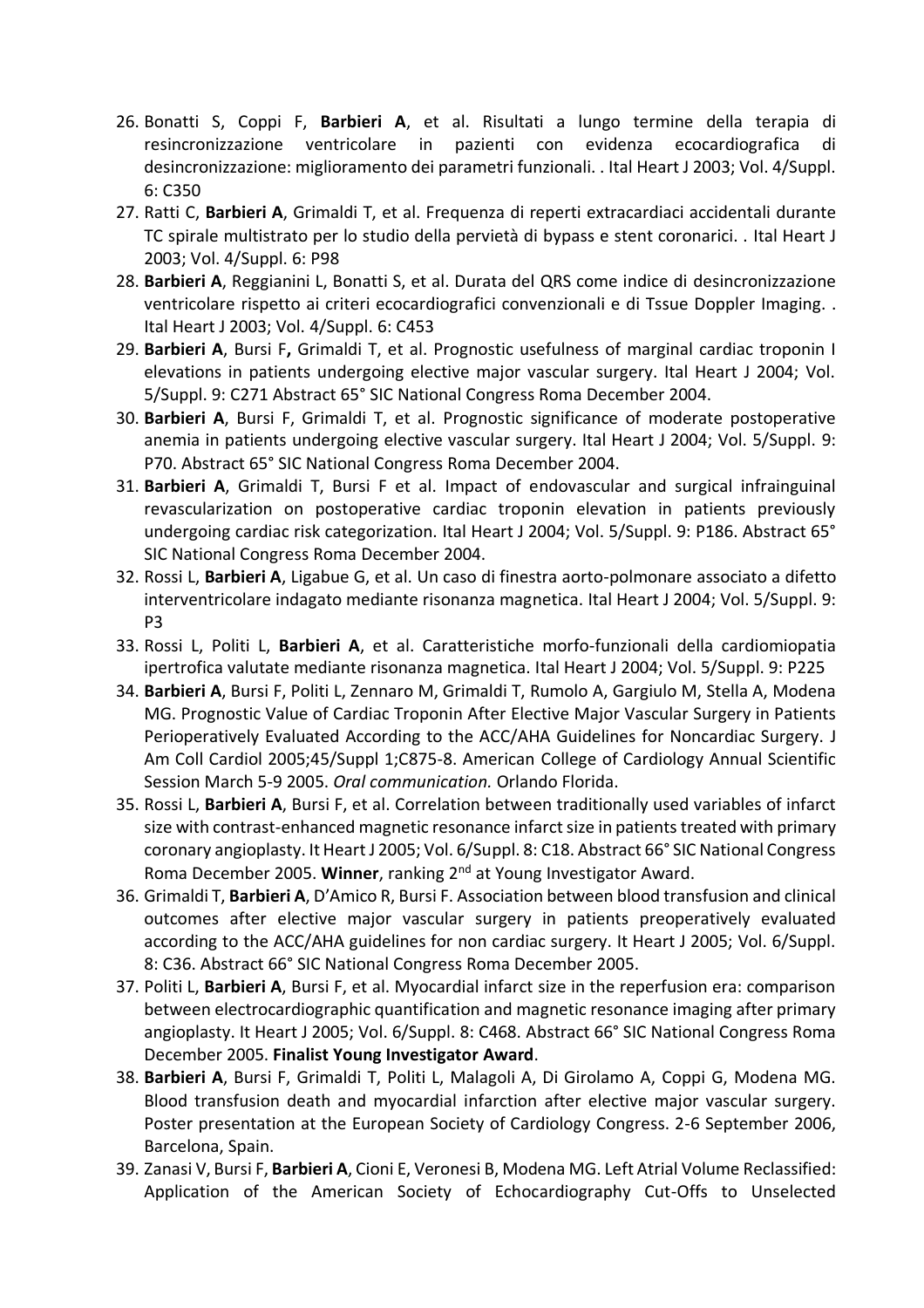- 26. Bonatti S, Coppi F, **Barbieri A**, et al. Risultati a lungo termine della terapia di resincronizzazione ventricolare in pazienti con evidenza ecocardiografica di desincronizzazione: miglioramento dei parametri funzionali. . Ital Heart J 2003; Vol. 4/Suppl. 6: C350
- 27. Ratti C, **Barbieri A**, Grimaldi T, et al. Frequenza di reperti extracardiaci accidentali durante TC spirale multistrato per lo studio della pervietà di bypass e stent coronarici. . Ital Heart J 2003; Vol. 4/Suppl. 6: P98
- 28. **Barbieri A**, Reggianini L, Bonatti S, et al. Durata del QRS come indice di desincronizzazione ventricolare rispetto ai criteri ecocardiografici convenzionali e di Tssue Doppler Imaging. . Ital Heart J 2003; Vol. 4/Suppl. 6: C453
- 29. **Barbieri A**, Bursi F**,** Grimaldi T, et al. Prognostic usefulness of marginal cardiac troponin I elevations in patients undergoing elective major vascular surgery. Ital Heart J 2004; Vol. 5/Suppl. 9: C271 Abstract 65° SIC National Congress Roma December 2004.
- 30. **Barbieri A**, Bursi F, Grimaldi T, et al. Prognostic significance of moderate postoperative anemia in patients undergoing elective vascular surgery. Ital Heart J 2004; Vol. 5/Suppl. 9: P70. Abstract 65° SIC National Congress Roma December 2004.
- 31. **Barbieri A**, Grimaldi T, Bursi F et al. Impact of endovascular and surgical infrainguinal revascularization on postoperative cardiac troponin elevation in patients previously undergoing cardiac risk categorization. Ital Heart J 2004; Vol. 5/Suppl. 9: P186. Abstract 65° SIC National Congress Roma December 2004.
- 32. Rossi L, **Barbieri A**, Ligabue G, et al. Un caso di finestra aorto-polmonare associato a difetto interventricolare indagato mediante risonanza magnetica. Ital Heart J 2004; Vol. 5/Suppl. 9: P3
- 33. Rossi L, Politi L, **Barbieri A**, et al. Caratteristiche morfo-funzionali della cardiomiopatia ipertrofica valutate mediante risonanza magnetica. Ital Heart J 2004; Vol. 5/Suppl. 9: P225
- 34. **Barbieri A**, Bursi F, Politi L, Zennaro M, Grimaldi T, Rumolo A, Gargiulo M, Stella A, Modena MG. Prognostic Value of Cardiac Troponin After Elective Major Vascular Surgery in Patients Perioperatively Evaluated According to the ACC/AHA Guidelines for Noncardiac Surgery. J Am Coll Cardiol 2005;45/Suppl 1;C875-8. American College of Cardiology Annual Scientific Session March 5-9 2005. *Oral communication.* Orlando Florida.
- 35. Rossi L, **Barbieri A**, Bursi F, et al. Correlation between traditionally used variables of infarct size with contrast-enhanced magnetic resonance infarct size in patients treated with primary coronary angioplasty. It Heart J 2005; Vol. 6/Suppl. 8: C18. Abstract 66° SIC National Congress Roma December 2005. **Winner**, ranking 2nd at Young Investigator Award.
- 36. Grimaldi T, **Barbieri A**, D'Amico R, Bursi F. Association between blood transfusion and clinical outcomes after elective major vascular surgery in patients preoperatively evaluated according to the ACC/AHA guidelines for non cardiac surgery. It Heart J 2005; Vol. 6/Suppl. 8: C36. Abstract 66° SIC National Congress Roma December 2005.
- 37. Politi L, **Barbieri A**, Bursi F, et al. Myocardial infarct size in the reperfusion era: comparison between electrocardiographic quantification and magnetic resonance imaging after primary angioplasty. It Heart J 2005; Vol. 6/Suppl. 8: C468. Abstract 66° SIC National Congress Roma December 2005. **Finalist Young Investigator Award**.
- 38. **Barbieri A**, Bursi F, Grimaldi T, Politi L, Malagoli A, Di Girolamo A, Coppi G, Modena MG. Blood transfusion death and myocardial infarction after elective major vascular surgery. Poster presentation at the European Society of Cardiology Congress. 2-6 September 2006, Barcelona, Spain.
- 39. Zanasi V, Bursi F, **Barbieri A**, Cioni E, Veronesi B, Modena MG. Left Atrial Volume Reclassified: Application of the American Society of Echocardiography Cut-Offs to Unselected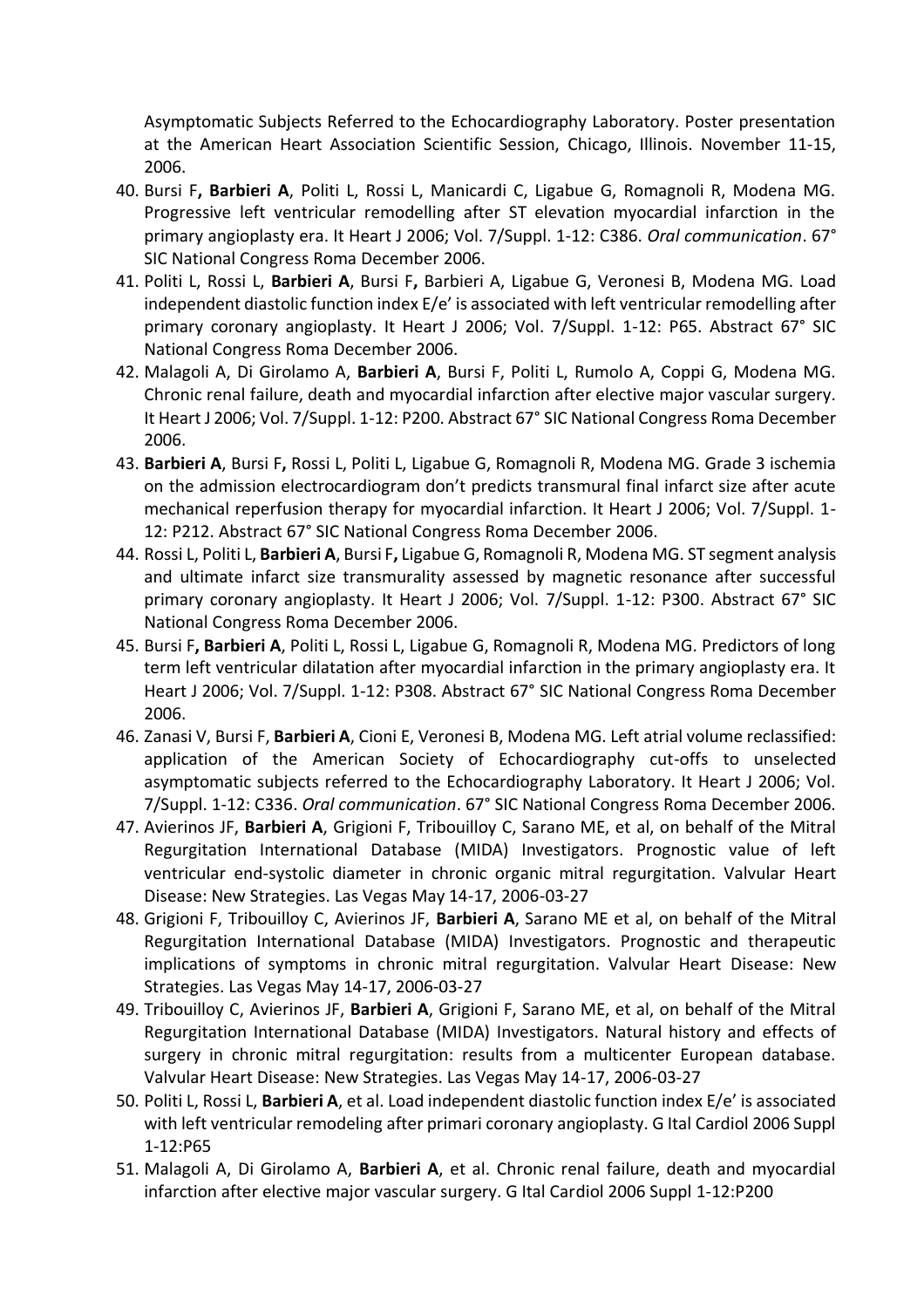Asymptomatic Subjects Referred to the Echocardiography Laboratory. Poster presentation at the American Heart Association Scientific Session, Chicago, Illinois. November 11-15, 2006.

- 40. Bursi F**, Barbieri A**, Politi L, Rossi L, Manicardi C, Ligabue G, Romagnoli R, Modena MG. Progressive left ventricular remodelling after ST elevation myocardial infarction in the primary angioplasty era. It Heart J 2006; Vol. 7/Suppl. 1-12: C386. *Oral communication*. 67° SIC National Congress Roma December 2006.
- 41. Politi L, Rossi L, **Barbieri A**, Bursi F**,** Barbieri A, Ligabue G, Veronesi B, Modena MG. Load independent diastolic function index E/e' is associated with left ventricular remodelling after primary coronary angioplasty. It Heart J 2006; Vol. 7/Suppl. 1-12: P65. Abstract 67° SIC National Congress Roma December 2006.
- 42. Malagoli A, Di Girolamo A, **Barbieri A**, Bursi F, Politi L, Rumolo A, Coppi G, Modena MG. Chronic renal failure, death and myocardial infarction after elective major vascular surgery. It Heart J 2006; Vol. 7/Suppl. 1-12: P200. Abstract 67° SIC National Congress Roma December 2006.
- 43. **Barbieri A**, Bursi F**,** Rossi L, Politi L, Ligabue G, Romagnoli R, Modena MG. Grade 3 ischemia on the admission electrocardiogram don't predicts transmural final infarct size after acute mechanical reperfusion therapy for myocardial infarction. It Heart J 2006; Vol. 7/Suppl. 1- 12: P212. Abstract 67° SIC National Congress Roma December 2006.
- 44. Rossi L, Politi L, **Barbieri A**, Bursi F**,** Ligabue G, Romagnoli R, Modena MG. ST segment analysis and ultimate infarct size transmurality assessed by magnetic resonance after successful primary coronary angioplasty. It Heart J 2006; Vol. 7/Suppl. 1-12: P300. Abstract 67° SIC National Congress Roma December 2006.
- 45. Bursi F**, Barbieri A**, Politi L, Rossi L, Ligabue G, Romagnoli R, Modena MG. Predictors of long term left ventricular dilatation after myocardial infarction in the primary angioplasty era. It Heart J 2006; Vol. 7/Suppl. 1-12: P308. Abstract 67° SIC National Congress Roma December 2006.
- 46. Zanasi V, Bursi F, **Barbieri A**, Cioni E, Veronesi B, Modena MG. Left atrial volume reclassified: application of the American Society of Echocardiography cut-offs to unselected asymptomatic subjects referred to the Echocardiography Laboratory. It Heart J 2006; Vol. 7/Suppl. 1-12: C336. *Oral communication*. 67° SIC National Congress Roma December 2006.
- 47. Avierinos JF, **Barbieri A**, Grigioni F, Tribouilloy C, Sarano ME, et al, on behalf of the Mitral Regurgitation International Database (MIDA) Investigators. Prognostic value of left ventricular end-systolic diameter in chronic organic mitral regurgitation. Valvular Heart Disease: New Strategies. Las Vegas May 14-17, 2006-03-27
- 48. Grigioni F, Tribouilloy C, Avierinos JF, **Barbieri A**, Sarano ME et al, on behalf of the Mitral Regurgitation International Database (MIDA) Investigators. Prognostic and therapeutic implications of symptoms in chronic mitral regurgitation. Valvular Heart Disease: New Strategies. Las Vegas May 14-17, 2006-03-27
- 49. Tribouilloy C, Avierinos JF, **Barbieri A**, Grigioni F, Sarano ME, et al, on behalf of the Mitral Regurgitation International Database (MIDA) Investigators. Natural history and effects of surgery in chronic mitral regurgitation: results from a multicenter European database. Valvular Heart Disease: New Strategies. Las Vegas May 14-17, 2006-03-27
- 50. Politi L, Rossi L, **Barbieri A**, et al. Load independent diastolic function index E/e' is associated with left ventricular remodeling after primari coronary angioplasty. G Ital Cardiol 2006 Suppl 1-12:P65
- 51. Malagoli A, Di Girolamo A, **Barbieri A**, et al. Chronic renal failure, death and myocardial infarction after elective major vascular surgery. G Ital Cardiol 2006 Suppl 1-12:P200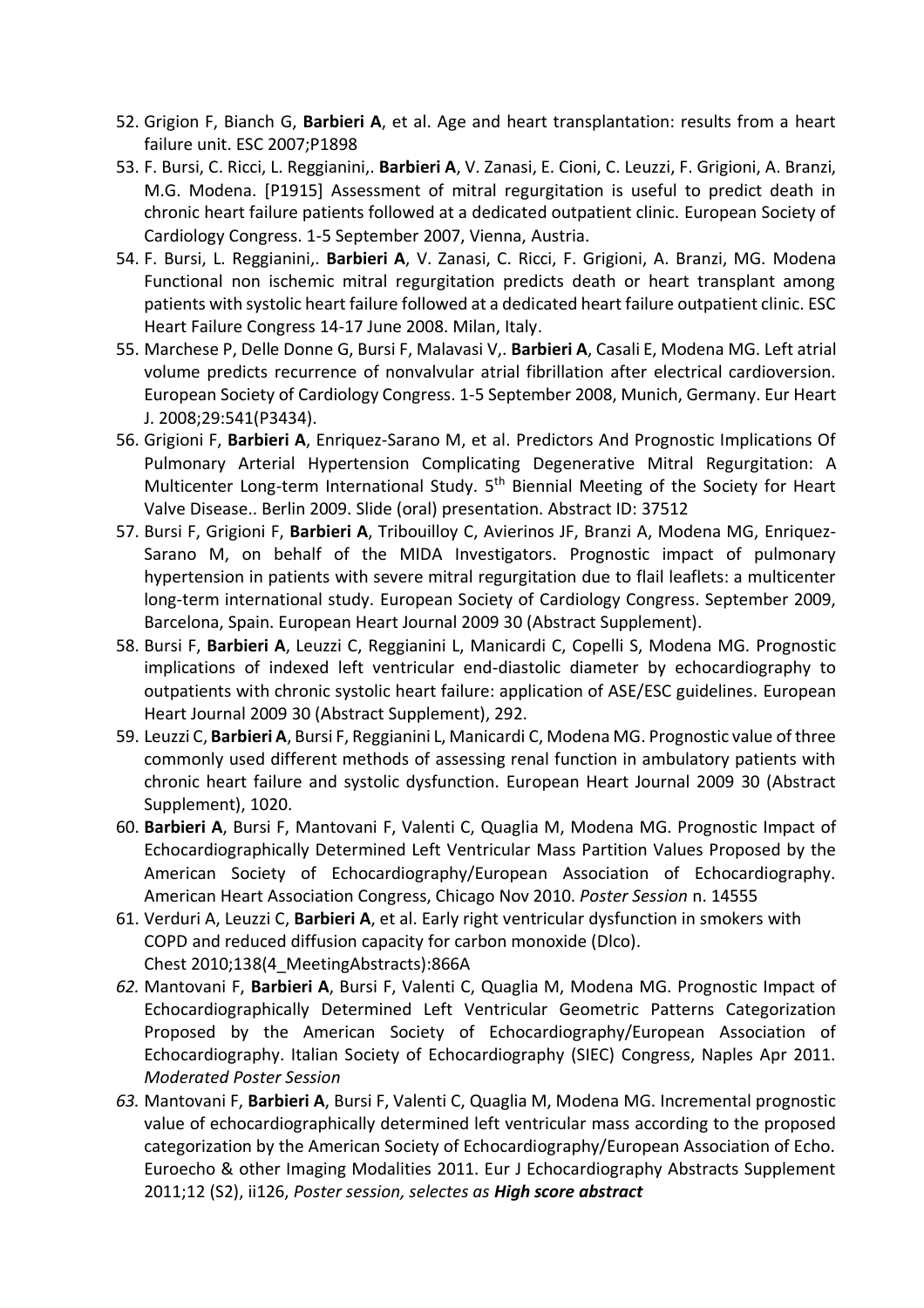- 52. Grigion F, Bianch G, **Barbieri A**, et al. Age and heart transplantation: results from a heart failure unit. ESC 2007;P1898
- 53. F. Bursi, C. Ricci, L. Reggianini,. **Barbieri A**, V. Zanasi, E. Cioni, C. Leuzzi, F. Grigioni, A. Branzi, M.G. Modena. [P1915] Assessment of mitral regurgitation is useful to predict death in chronic heart failure patients followed at a dedicated outpatient clinic. European Society of Cardiology Congress. 1-5 September 2007, Vienna, Austria.
- 54. F. Bursi, L. Reggianini,. **Barbieri A**, V. Zanasi, C. Ricci, F. Grigioni, A. Branzi, MG. Modena Functional non ischemic mitral regurgitation predicts death or heart transplant among patients with systolic heart failure followed at a dedicated heart failure outpatient clinic. ESC Heart Failure Congress 14-17 June 2008. Milan, Italy.
- 55. Marchese P, Delle Donne G, Bursi F, Malavasi V,. **Barbieri A**, Casali E, Modena MG. Left atrial volume predicts recurrence of nonvalvular atrial fibrillation after electrical cardioversion. European Society of Cardiology Congress. 1-5 September 2008, Munich, Germany. Eur Heart J. 2008;29:541(P3434).
- 56. Grigioni F, **Barbieri A**, Enriquez-Sarano M, et al. Predictors And Prognostic Implications Of Pulmonary Arterial Hypertension Complicating Degenerative Mitral Regurgitation: A Multicenter Long-term International Study. 5<sup>th</sup> Biennial Meeting of the Society for Heart Valve Disease.. Berlin 2009. Slide (oral) presentation. Abstract ID: 37512
- 57. Bursi F, Grigioni F, **Barbieri A**, Tribouilloy C, Avierinos JF, Branzi A, Modena MG, Enriquez-Sarano M, on behalf of the MIDA Investigators. Prognostic impact of pulmonary hypertension in patients with severe mitral regurgitation due to flail leaflets: a multicenter long-term international study. European Society of Cardiology Congress. September 2009, Barcelona, Spain. European Heart Journal 2009 30 (Abstract Supplement).
- 58. Bursi F, **Barbieri A**, Leuzzi C, Reggianini L, Manicardi C, Copelli S, Modena MG. Prognostic implications of indexed left ventricular end-diastolic diameter by echocardiography to outpatients with chronic systolic heart failure: application of ASE/ESC guidelines. European Heart Journal 2009 30 (Abstract Supplement), 292.
- 59. Leuzzi C, **Barbieri A**, Bursi F, Reggianini L, Manicardi C, Modena MG. Prognostic value of three commonly used different methods of assessing renal function in ambulatory patients with chronic heart failure and systolic dysfunction. European Heart Journal 2009 30 (Abstract Supplement), 1020.
- 60. **Barbieri A**, Bursi F, Mantovani F, Valenti C, Quaglia M, Modena MG. Prognostic Impact of Echocardiographically Determined Left Ventricular Mass Partition Values Proposed by the American Society of Echocardiography/European Association of Echocardiography. American Heart Association Congress, Chicago Nov 2010. *Poster Session* n. 14555
- 61. Verduri A, Leuzzi C, **Barbieri A**, et al. Early right ventricular dysfunction in smokers with COPD and reduced diffusion capacity for carbon monoxide (Dlco). Chest 2010;138(4\_MeetingAbstracts):866A
- *62.* Mantovani F, **Barbieri A**, Bursi F, Valenti C, Quaglia M, Modena MG. Prognostic Impact of Echocardiographically Determined Left Ventricular Geometric Patterns Categorization Proposed by the American Society of Echocardiography/European Association of Echocardiography. Italian Society of Echocardiography (SIEC) Congress, Naples Apr 2011. *Moderated Poster Session*
- *63.* Mantovani F, **Barbieri A**, Bursi F, Valenti C, Quaglia M, Modena MG. Incremental prognostic value of echocardiographically determined left ventricular mass according to the proposed categorization by the American Society of Echocardiography/European Association of Echo. Euroecho & other Imaging Modalities 2011. Eur J Echocardiography Abstracts Supplement 2011;12 (S2), ii126, *Poster session, selectes as High score abstract*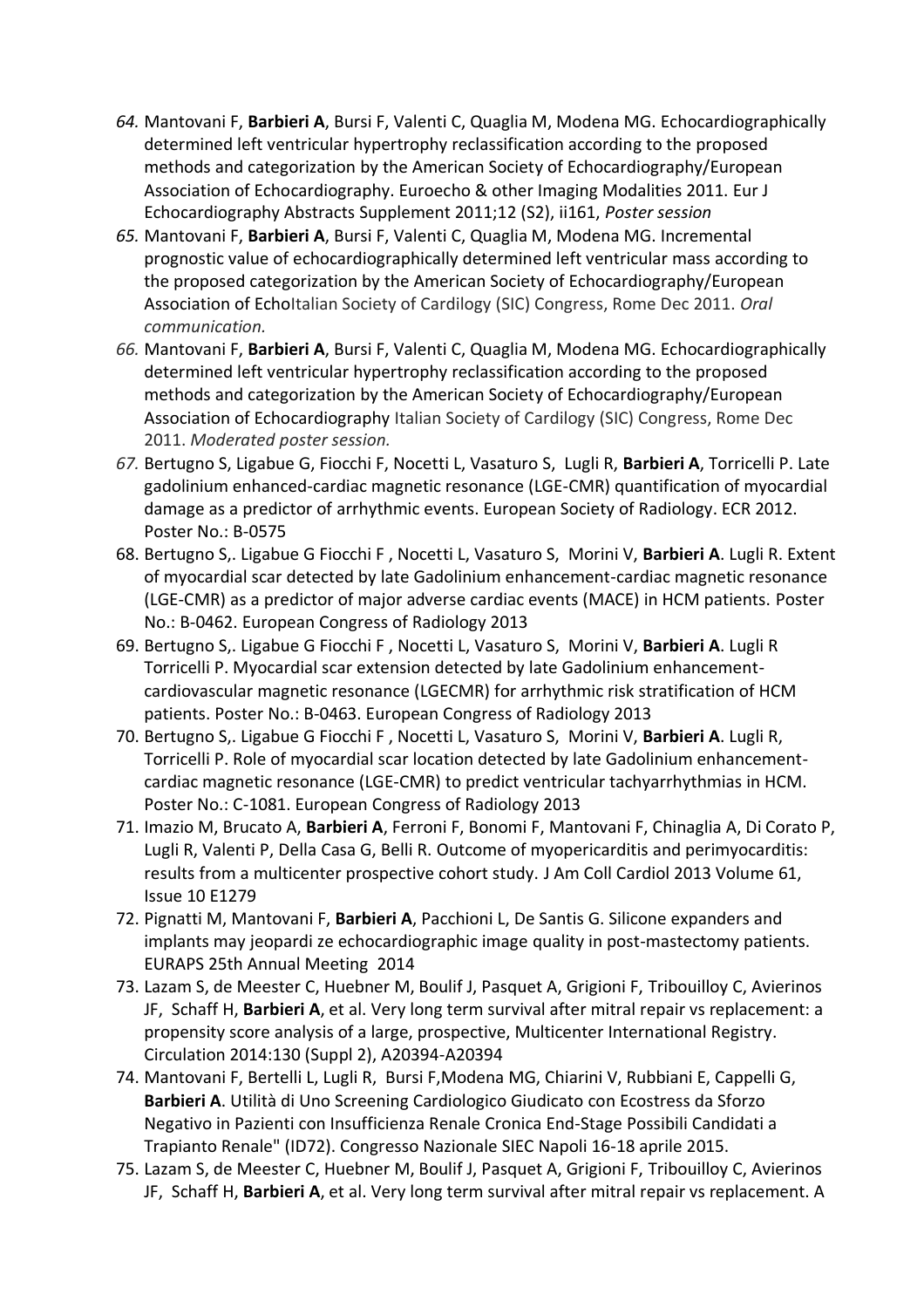- *64.* Mantovani F, **Barbieri A**, Bursi F, Valenti C, Quaglia M, Modena MG. Echocardiographically determined left ventricular hypertrophy reclassification according to the proposed methods and categorization by the American Society of Echocardiography/European Association of Echocardiography. Euroecho & other Imaging Modalities 2011. Eur J Echocardiography Abstracts Supplement 2011;12 (S2), ii161, *Poster session*
- *65.* Mantovani F, **Barbieri A**, Bursi F, Valenti C, Quaglia M, Modena MG. Incremental prognostic value of echocardiographically determined left ventricular mass according to the proposed categorization by the American Society of Echocardiography/European Association of EchoItalian Society of Cardilogy (SIC) Congress, Rome Dec 2011. *Oral communication.*
- *66.* Mantovani F, **Barbieri A**, Bursi F, Valenti C, Quaglia M, Modena MG. Echocardiographically determined left ventricular hypertrophy reclassification according to the proposed methods and categorization by the American Society of Echocardiography/European Association of Echocardiography Italian Society of Cardilogy (SIC) Congress, Rome Dec 2011. *Moderated poster session.*
- *67.* Bertugno S, Ligabue G, Fiocchi F, Nocetti L, Vasaturo S, Lugli R, **Barbieri A**, Torricelli P. Late gadolinium enhanced-cardiac magnetic resonance (LGE-CMR) quantification of myocardial damage as a predictor of arrhythmic events. European Society of Radiology. ECR 2012. Poster No.: B-0575
- 68. Bertugno S,. Ligabue G Fiocchi F , Nocetti L, Vasaturo S, Morini V, **Barbieri A**. Lugli R. Extent of myocardial scar detected by late Gadolinium enhancement-cardiac magnetic resonance (LGE-CMR) as a predictor of major adverse cardiac events (MACE) in HCM patients. Poster No.: B-0462. European Congress of Radiology 2013
- 69. Bertugno S,. Ligabue G Fiocchi F , Nocetti L, Vasaturo S, Morini V, **Barbieri A**. Lugli R Torricelli P. Myocardial scar extension detected by late Gadolinium enhancementcardiovascular magnetic resonance (LGECMR) for arrhythmic risk stratification of HCM patients. Poster No.: B-0463. European Congress of Radiology 2013
- 70. Bertugno S,. Ligabue G Fiocchi F , Nocetti L, Vasaturo S, Morini V, **Barbieri A**. Lugli R, Torricelli P. Role of myocardial scar location detected by late Gadolinium enhancementcardiac magnetic resonance (LGE-CMR) to predict ventricular tachyarrhythmias in HCM. Poster No.: C-1081. European Congress of Radiology 2013
- 71. Imazio M, Brucato A, **Barbieri A**, Ferroni F, Bonomi F, Mantovani F, Chinaglia A, Di Corato P, Lugli R, Valenti P, Della Casa G, Belli R. Outcome of myopericarditis and perimyocarditis: results from a multicenter prospective cohort study. J Am Coll Cardiol 2013 Volume 61, Issue 10 E1279
- 72. Pignatti M, Mantovani F, **Barbieri A**, Pacchioni L, De Santis G. Silicone expanders and implants may jeopardi ze echocardiographic image quality in post-mastectomy patients. EURAPS 25th Annual Meeting 2014
- 73. Lazam S, de Meester C, Huebner M, Boulif J, Pasquet A, Grigioni F, [Tribouilloy](http://circ.ahajournals.org/search?author1=Christophe+Tribouilloy&sortspec=date&submit=Submit) C[, Avierinos](http://circ.ahajournals.org/search?author1=Jean-Francois+Avierinos&sortspec=date&submit=Submit) JF, [Schaff](http://circ.ahajournals.org/search?author1=Hartzell+Schaff&sortspec=date&submit=Submit) H, **Barbieri A**, et al. Very long term survival after mitral repair vs replacement: a propensity score analysis of a large, prospective, Multicenter International Registry. Circulation 2014:130 (Suppl 2), A20394-A20394
- 74. Mantovani F, Bertelli L, Lugli R, Bursi F,Modena MG, Chiarini V, Rubbiani E, Cappelli G, **Barbieri A**. Utilità di Uno Screening Cardiologico Giudicato con Ecostress da Sforzo Negativo in Pazienti con Insufficienza Renale Cronica End-Stage Possibili Candidati a Trapianto Renale" (ID72). Congresso Nazionale SIEC Napoli 16-18 aprile 2015.
- 75. Lazam S, de Meester C, Huebner M, Boulif J, Pasquet A, Grigioni F, [Tribouilloy](http://circ.ahajournals.org/search?author1=Christophe+Tribouilloy&sortspec=date&submit=Submit) C[, Avierinos](http://circ.ahajournals.org/search?author1=Jean-Francois+Avierinos&sortspec=date&submit=Submit) JF, [Schaff](http://circ.ahajournals.org/search?author1=Hartzell+Schaff&sortspec=date&submit=Submit) H, **Barbieri A**, et al. Very long term survival after mitral repair vs replacement. A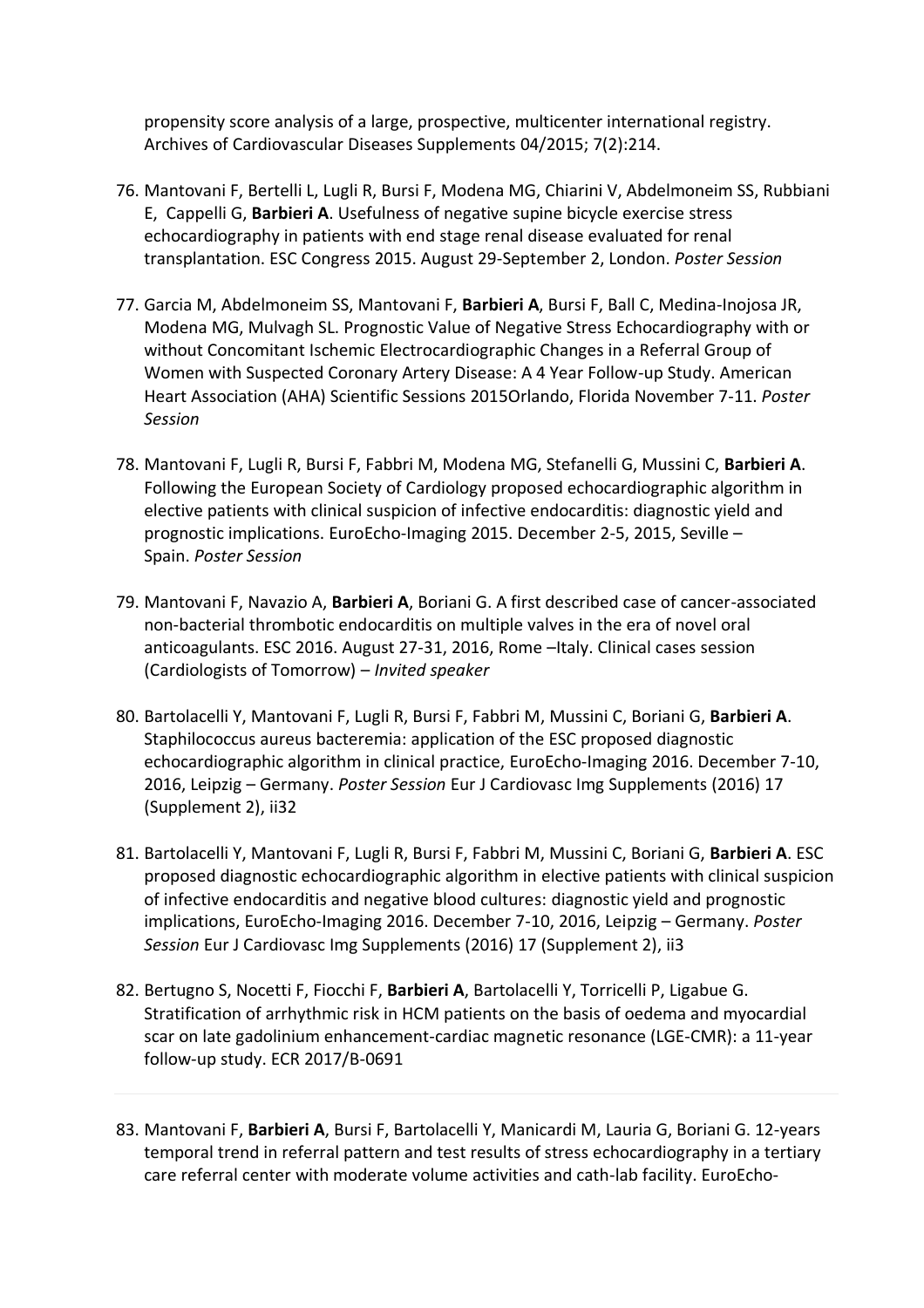propensity score analysis of a large, prospective, multicenter international registry. Archives of Cardiovascular Diseases Supplements 04/2015; 7(2):214.

- 76. Mantovani F, Bertelli L, Lugli R, Bursi F, Modena MG, Chiarini V, Abdelmoneim SS, Rubbiani E, Cappelli G, **Barbieri A**. Usefulness of negative supine bicycle exercise stress echocardiography in patients with end stage renal disease evaluated for renal transplantation. ESC Congress 2015. August 29-September 2, London. *Poster Session*
- 77. Garcia M, Abdelmoneim SS, Mantovani F, **Barbieri A**, Bursi F, Ball C, Medina-Inojosa JR, Modena MG, Mulvagh SL. Prognostic Value of Negative Stress Echocardiography with or without Concomitant Ischemic Electrocardiographic Changes in a Referral Group of Women with Suspected Coronary Artery Disease: A 4 Year Follow-up Study. American Heart Association (AHA) Scientific Sessions 2015Orlando, Florida November 7-11. *Poster Session*
- 78. Mantovani F, Lugli R, Bursi F, Fabbri M, Modena MG, Stefanelli G, Mussini C, **Barbieri A**. Following the European Society of Cardiology proposed echocardiographic algorithm in elective patients with clinical suspicion of infective endocarditis: diagnostic yield and prognostic implications. EuroEcho-Imaging 2015. December 2-5, 2015, Seville – Spain. *Poster Session*
- 79. Mantovani F, Navazio A, **Barbieri A**, Boriani G. A first described case of cancer-associated non-bacterial thrombotic endocarditis on multiple valves in the era of novel oral anticoagulants. ESC 2016. August 27-31, 2016, Rome –Italy. Clinical cases session (Cardiologists of Tomorrow) – *Invited speaker*
- 80. Bartolacelli Y, Mantovani F, Lugli R, Bursi F, Fabbri M, Mussini C, Boriani G, **Barbieri A**. Staphilococcus aureus bacteremia: application of the ESC proposed diagnostic echocardiographic algorithm in clinical practice, EuroEcho-Imaging 2016. December 7-10, 2016, Leipzig – Germany. *Poster Session* Eur J Cardiovasc Img Supplements (2016) 17 (Supplement 2), ii32
- 81. Bartolacelli Y, Mantovani F, Lugli R, Bursi F, Fabbri M, Mussini C, Boriani G, **Barbieri A**. ESC proposed diagnostic echocardiographic algorithm in elective patients with clinical suspicion of infective endocarditis and negative blood cultures: diagnostic yield and prognostic implications, EuroEcho-Imaging 2016. December 7-10, 2016, Leipzig – Germany. *Poster Session* Eur J Cardiovasc Img Supplements (2016) 17 (Supplement 2), ii3
- 82. Bertugno S, Nocetti F, Fiocchi F, **Barbieri A**, Bartolacelli Y, Torricelli P, Ligabue G. Stratification of arrhythmic risk in HCM patients on the basis of oedema and myocardial scar on late gadolinium enhancement-cardiac magnetic resonance (LGE-CMR): a 11-year follow-up study. ECR 2017/B-0691
- 83. Mantovani F, **Barbieri A**, Bursi F, Bartolacelli Y, Manicardi M, Lauria G, Boriani G. 12-years temporal trend in referral pattern and test results of stress echocardiography in a tertiary care referral center with moderate volume activities and cath-lab facility. EuroEcho-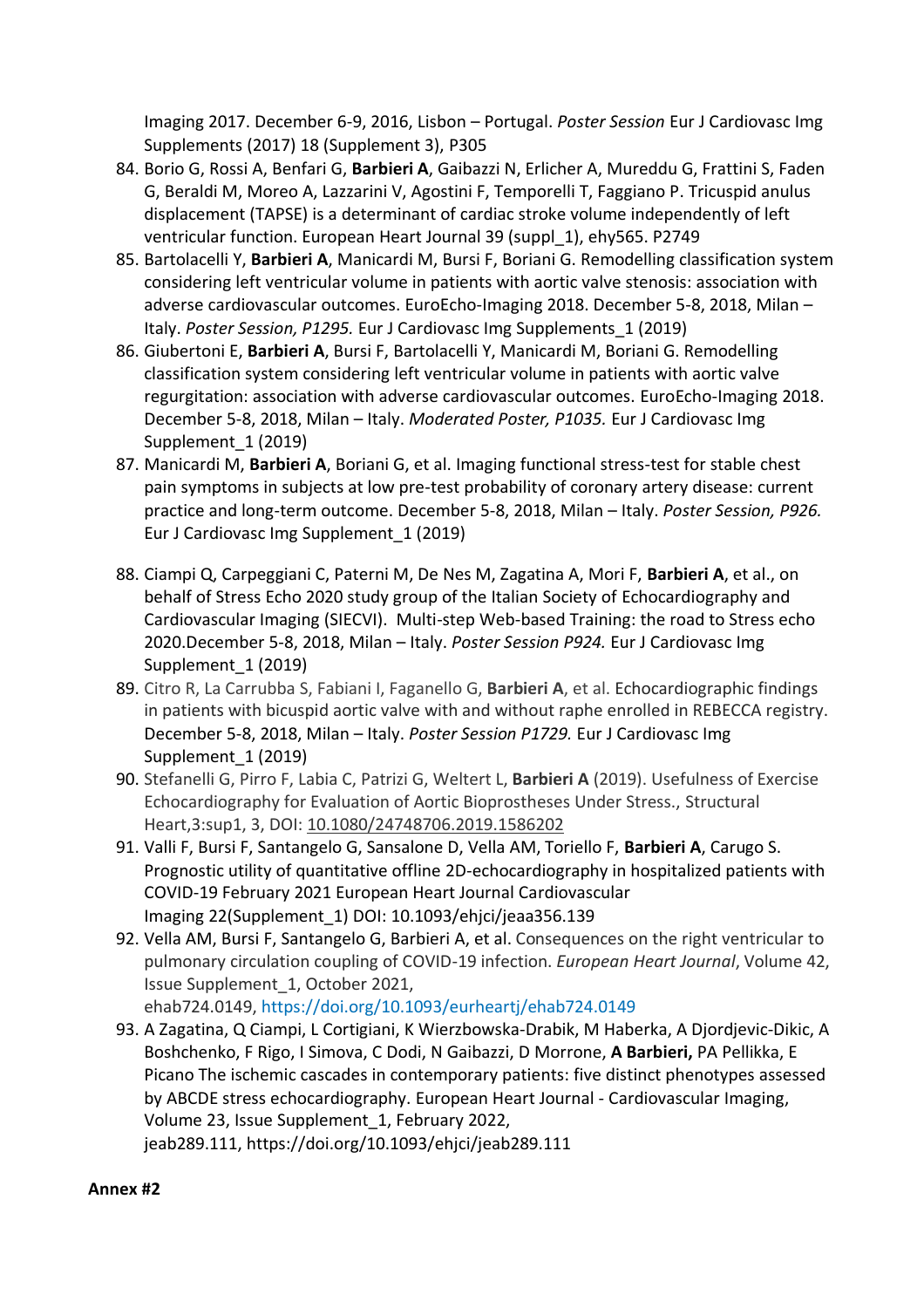Imaging 2017. December 6-9, 2016, Lisbon – Portugal. *Poster Session* Eur J Cardiovasc Img Supplements (2017) 18 (Supplement 3), P305

- 84. Borio G, Rossi A, Benfari G, **Barbieri A**, Gaibazzi N, Erlicher A, Mureddu G, Frattini S, Faden G, Beraldi M, Moreo A, Lazzarini V, Agostini F, Temporelli T, Faggiano P. Tricuspid anulus displacement (TAPSE) is a determinant of cardiac stroke volume independently of left ventricular function. European Heart Journal 39 (suppl\_1), ehy565. P2749
- 85. Bartolacelli Y, **Barbieri A**, Manicardi M, Bursi F, Boriani G. Remodelling classification system considering left ventricular volume in patients with aortic valve stenosis: association with adverse cardiovascular outcomes. EuroEcho-Imaging 2018. December 5-8, 2018, Milan – Italy. *Poster Session, P1295.* Eur J Cardiovasc Img Supplements\_1 (2019)
- 86. Giubertoni E, **Barbieri A**, Bursi F, Bartolacelli Y, Manicardi M, Boriani G. Remodelling classification system considering left ventricular volume in patients with aortic valve regurgitation: association with adverse cardiovascular outcomes. EuroEcho-Imaging 2018. December 5-8, 2018, Milan – Italy. *Moderated Poster, P1035.* Eur J Cardiovasc Img Supplement\_1 (2019)
- 87. Manicardi M, **Barbieri A**, Boriani G, et al. Imaging functional stress-test for stable chest pain symptoms in subjects at low pre-test probability of coronary artery disease: current practice and long-term outcome. December 5-8, 2018, Milan – Italy. *Poster Session, P926.* Eur J Cardiovasc Img Supplement\_1 (2019)
- 88. Ciampi Q, Carpeggiani C, Paterni M, De Nes M, Zagatina A, Mori F, **Barbieri A**, et al., on behalf of Stress Echo 2020 study group of the Italian Society of Echocardiography and Cardiovascular Imaging (SIECVI). Multi-step Web-based Training: the road to Stress echo 2020.December 5-8, 2018, Milan – Italy. *Poster Session P924.* Eur J Cardiovasc Img Supplement\_1 (2019)
- 89. Citro R, La Carrubba S, Fabiani I, Faganello G, **Barbieri A**, et al. Echocardiographic findings in patients with bicuspid aortic valve with and without raphe enrolled in REBECCA registry. December 5-8, 2018, Milan – Italy. *Poster Session P1729.* Eur J Cardiovasc Img Supplement\_1 (2019)
- 90. Stefanelli G, Pirro F, Labia C, Patrizi G, Weltert L, **Barbieri A** (2019). Usefulness of Exercise Echocardiography for Evaluation of Aortic Bioprostheses Under Stress., Structural Heart,3:sup1, 3, DOI: [10.1080/24748706.2019.1586202](https://doi.org/10.1080/24748706.2019.1586202)
- 91. Valli F, Bursi F, Santangelo G, Sansalone D, Vella AM, Toriello F, **Barbieri A**, Carugo S. Prognostic utility of quantitative offline 2D-echocardiography in hospitalized patients with COVID-19 February 2021 European Heart Journal Cardiovascular Imaging 22(Supplement\_1) DOI: 10.1093/ehjci/jeaa356.139
- 92. Vella AM, Bursi F, Santangelo G, Barbieri A, et al. Consequences on the right ventricular to pulmonary circulation coupling of COVID-19 infection. *European Heart Journal*, Volume 42, Issue Supplement\_1, October 2021, ehab724.0149, <https://doi.org/10.1093/eurheartj/ehab724.0149>
- 93. A [Zagatina,](javascript:;) Q [Ciampi,](javascript:;) L [Cortigiani,](javascript:;) K [Wierzbowska-Drabik,](javascript:;) M [Haberka,](javascript:;) A [Djordjevic-Dikic,](javascript:;) [A](javascript:;) [Boshchenko,](javascript:;) F [Rigo,](javascript:;) I [Simova,](javascript:;) C [Dodi,](javascript:;) N Gaibazzi, D [Morrone,](javascript:;) **A [Barbieri,](javascript:;)** PA [Pellikka,](javascript:;) [E](javascript:;) [Picano](javascript:;) The ischemic cascades in contemporary patients: five distinct phenotypes assessed by ABCDE stress echocardiography. European Heart Journal - Cardiovascular Imaging, Volume 23, Issue Supplement\_1, February 2022, jeab289.111, <https://doi.org/10.1093/ehjci/jeab289.111>

#### **Annex #2**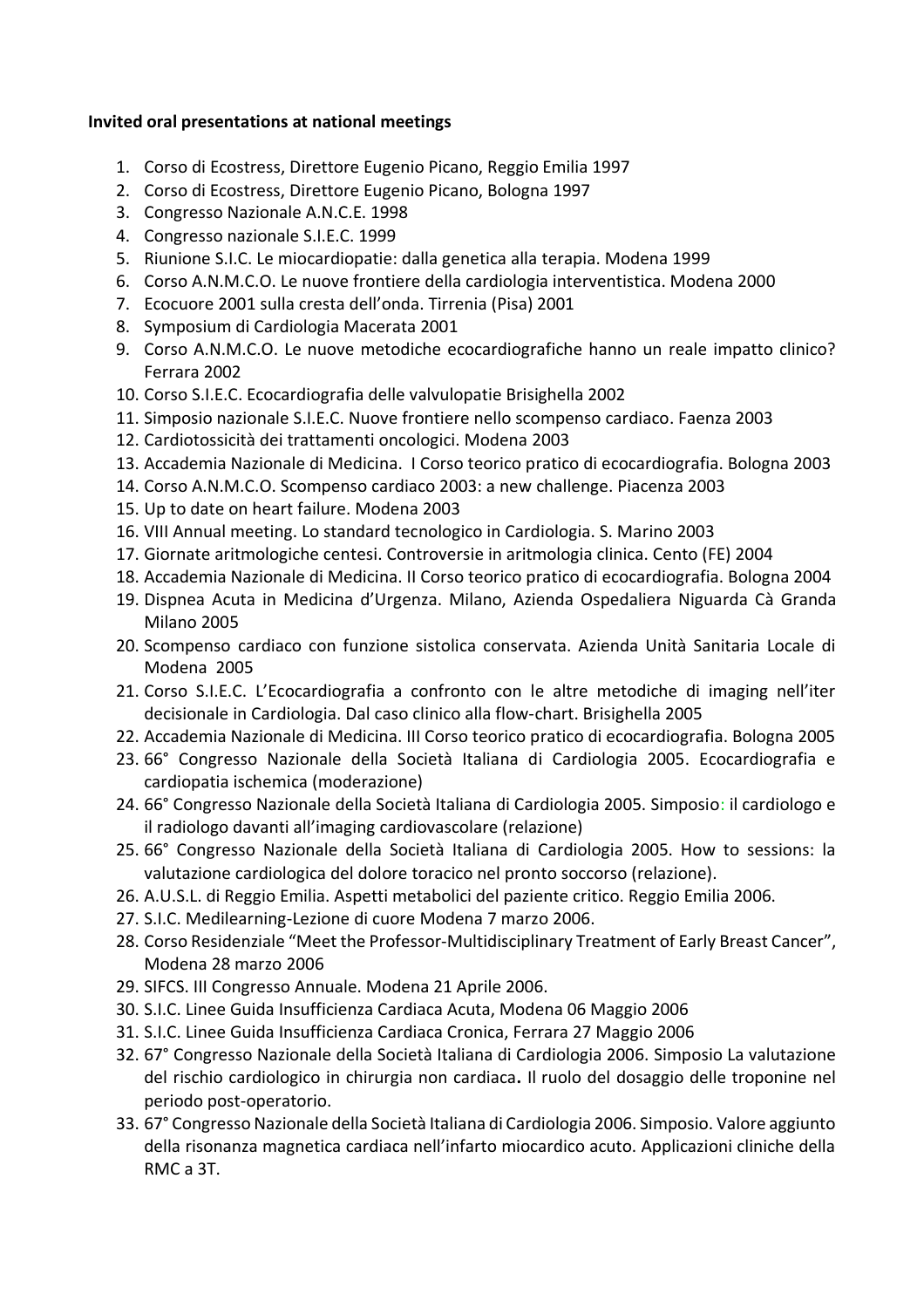#### **Invited oral presentations at national meetings**

- 1. Corso di Ecostress, Direttore Eugenio Picano, Reggio Emilia 1997
- 2. Corso di Ecostress, Direttore Eugenio Picano, Bologna 1997
- 3. Congresso Nazionale A.N.C.E. 1998
- 4. Congresso nazionale S.I.E.C. 1999
- 5. Riunione S.I.C. Le miocardiopatie: dalla genetica alla terapia. Modena 1999
- 6. Corso A.N.M.C.O. Le nuove frontiere della cardiologia interventistica. Modena 2000
- 7. Ecocuore 2001 sulla cresta dell'onda. Tirrenia (Pisa) 2001
- 8. Symposium di Cardiologia Macerata 2001
- 9. Corso A.N.M.C.O. Le nuove metodiche ecocardiografiche hanno un reale impatto clinico? Ferrara 2002
- 10. Corso S.I.E.C. Ecocardiografia delle valvulopatie Brisighella 2002
- 11. Simposio nazionale S.I.E.C. Nuove frontiere nello scompenso cardiaco. Faenza 2003
- 12. Cardiotossicità dei trattamenti oncologici. Modena 2003
- 13. Accademia Nazionale di Medicina. I Corso teorico pratico di ecocardiografia. Bologna 2003
- 14. Corso A.N.M.C.O. Scompenso cardiaco 2003: a new challenge. Piacenza 2003
- 15. Up to date on heart failure. Modena 2003
- 16. VIII Annual meeting. Lo standard tecnologico in Cardiologia. S. Marino 2003
- 17. Giornate aritmologiche centesi. Controversie in aritmologia clinica. Cento (FE) 2004
- 18. Accademia Nazionale di Medicina. II Corso teorico pratico di ecocardiografia. Bologna 2004
- 19. Dispnea Acuta in Medicina d'Urgenza. Milano, Azienda Ospedaliera Niguarda Cà Granda Milano 2005
- 20. Scompenso cardiaco con funzione sistolica conservata. Azienda Unità Sanitaria Locale di Modena 2005
- 21. Corso S.I.E.C. L'Ecocardiografia a confronto con le altre metodiche di imaging nell'iter decisionale in Cardiologia. Dal caso clinico alla flow-chart. Brisighella 2005
- 22. Accademia Nazionale di Medicina. III Corso teorico pratico di ecocardiografia. Bologna 2005
- 23. 66° Congresso Nazionale della Società Italiana di Cardiologia 2005. Ecocardiografia e cardiopatia ischemica (moderazione)
- 24. 66° Congresso Nazionale della Società Italiana di Cardiologia 2005. Simposio: il cardiologo e il radiologo davanti all'imaging cardiovascolare (relazione)
- 25. 66° Congresso Nazionale della Società Italiana di Cardiologia 2005. How to sessions: la valutazione cardiologica del dolore toracico nel pronto soccorso (relazione).
- 26. A.U.S.L. di Reggio Emilia. Aspetti metabolici del paziente critico. Reggio Emilia 2006.
- 27. S.I.C. Medilearning-Lezione di cuore Modena 7 marzo 2006.
- 28. Corso Residenziale "Meet the Professor-Multidisciplinary Treatment of Early Breast Cancer", Modena 28 marzo 2006
- 29. SIFCS. III Congresso Annuale. Modena 21 Aprile 2006.
- 30. S.I.C. Linee Guida Insufficienza Cardiaca Acuta, Modena 06 Maggio 2006
- 31. S.I.C. Linee Guida Insufficienza Cardiaca Cronica, Ferrara 27 Maggio 2006
- 32. 67° Congresso Nazionale della Società Italiana di Cardiologia 2006. Simposio La valutazione del rischio cardiologico in chirurgia non cardiaca**.** Il ruolo del dosaggio delle troponine nel periodo post-operatorio.
- 33. 67° Congresso Nazionale della Società Italiana di Cardiologia 2006. Simposio. Valore aggiunto della risonanza magnetica cardiaca nell'infarto miocardico acuto. Applicazioni cliniche della RMC a 3T.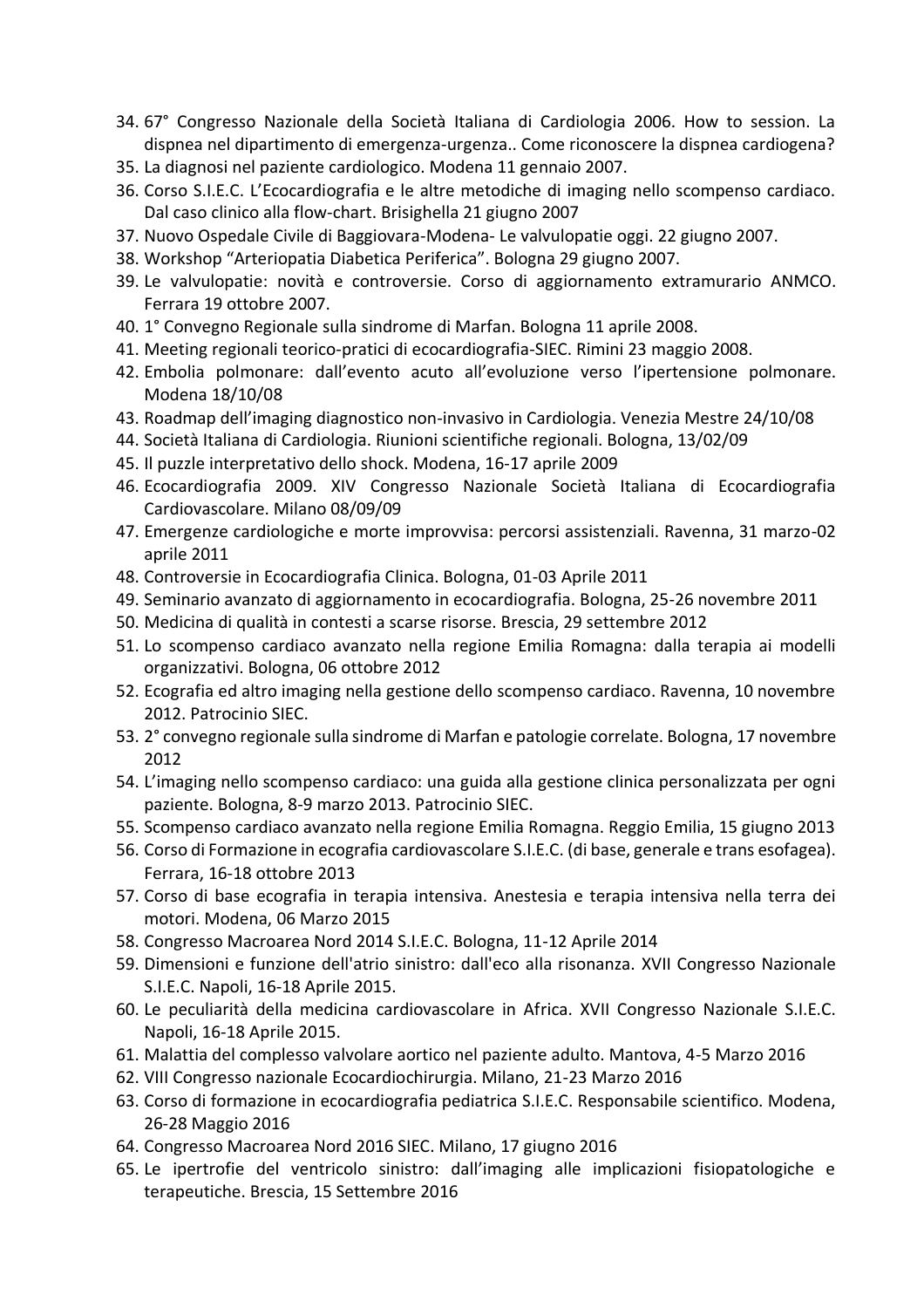- 34. 67° Congresso Nazionale della Società Italiana di Cardiologia 2006. How to session. La dispnea nel dipartimento di emergenza-urgenza.. Come riconoscere la dispnea cardiogena?
- 35. La diagnosi nel paziente cardiologico. Modena 11 gennaio 2007.
- 36. Corso S.I.E.C. L'Ecocardiografia e le altre metodiche di imaging nello scompenso cardiaco. Dal caso clinico alla flow-chart. Brisighella 21 giugno 2007
- 37. Nuovo Ospedale Civile di Baggiovara-Modena- Le valvulopatie oggi. 22 giugno 2007.
- 38. Workshop "Arteriopatia Diabetica Periferica". Bologna 29 giugno 2007.
- 39. Le valvulopatie: novità e controversie. Corso di aggiornamento extramurario ANMCO. Ferrara 19 ottobre 2007.
- 40. 1° Convegno Regionale sulla sindrome di Marfan. Bologna 11 aprile 2008.
- 41. Meeting regionali teorico-pratici di ecocardiografia-SIEC. Rimini 23 maggio 2008.
- 42. Embolia polmonare: dall'evento acuto all'evoluzione verso l'ipertensione polmonare. Modena 18/10/08
- 43. Roadmap dell'imaging diagnostico non-invasivo in Cardiologia. Venezia Mestre 24/10/08
- 44. Società Italiana di Cardiologia. Riunioni scientifiche regionali. Bologna, 13/02/09
- 45. Il puzzle interpretativo dello shock. Modena, 16-17 aprile 2009
- 46. Ecocardiografia 2009. XIV Congresso Nazionale Società Italiana di Ecocardiografia Cardiovascolare. Milano 08/09/09
- 47. Emergenze cardiologiche e morte improvvisa: percorsi assistenziali. Ravenna, 31 marzo-02 aprile 2011
- 48. Controversie in Ecocardiografia Clinica. Bologna, 01-03 Aprile 2011
- 49. Seminario avanzato di aggiornamento in ecocardiografia. Bologna, 25-26 novembre 2011
- 50. Medicina di qualità in contesti a scarse risorse. Brescia, 29 settembre 2012
- 51. Lo scompenso cardiaco avanzato nella regione Emilia Romagna: dalla terapia ai modelli organizzativi. Bologna, 06 ottobre 2012
- 52. Ecografia ed altro imaging nella gestione dello scompenso cardiaco. Ravenna, 10 novembre 2012. Patrocinio SIEC.
- 53. 2° convegno regionale sulla sindrome di Marfan e patologie correlate. Bologna, 17 novembre 2012
- 54. L'imaging nello scompenso cardiaco: una guida alla gestione clinica personalizzata per ogni paziente. Bologna, 8-9 marzo 2013. Patrocinio SIEC.
- 55. Scompenso cardiaco avanzato nella regione Emilia Romagna. Reggio Emilia, 15 giugno 2013
- 56. Corso di Formazione in ecografia cardiovascolare S.I.E.C. (di base, generale e trans esofagea). Ferrara, 16-18 ottobre 2013
- 57. Corso di base ecografia in terapia intensiva. Anestesia e terapia intensiva nella terra dei motori. Modena, 06 Marzo 2015
- 58. Congresso Macroarea Nord 2014 S.I.E.C. Bologna, 11-12 Aprile 2014
- 59. Dimensioni e funzione dell'atrio sinistro: dall'eco alla risonanza. XVII Congresso Nazionale S.I.E.C. Napoli, 16-18 Aprile 2015.
- 60. Le peculiarità della medicina cardiovascolare in Africa. XVII Congresso Nazionale S.I.E.C. Napoli, 16-18 Aprile 2015.
- 61. Malattia del complesso valvolare aortico nel paziente adulto. Mantova, 4-5 Marzo 2016
- 62. VIII Congresso nazionale Ecocardiochirurgia. Milano, 21-23 Marzo 2016
- 63. Corso di formazione in ecocardiografia pediatrica S.I.E.C. Responsabile scientifico. Modena, 26-28 Maggio 2016
- 64. Congresso Macroarea Nord 2016 SIEC. Milano, 17 giugno 2016
- 65. Le ipertrofie del ventricolo sinistro: dall'imaging alle implicazioni fisiopatologiche e terapeutiche. Brescia, 15 Settembre 2016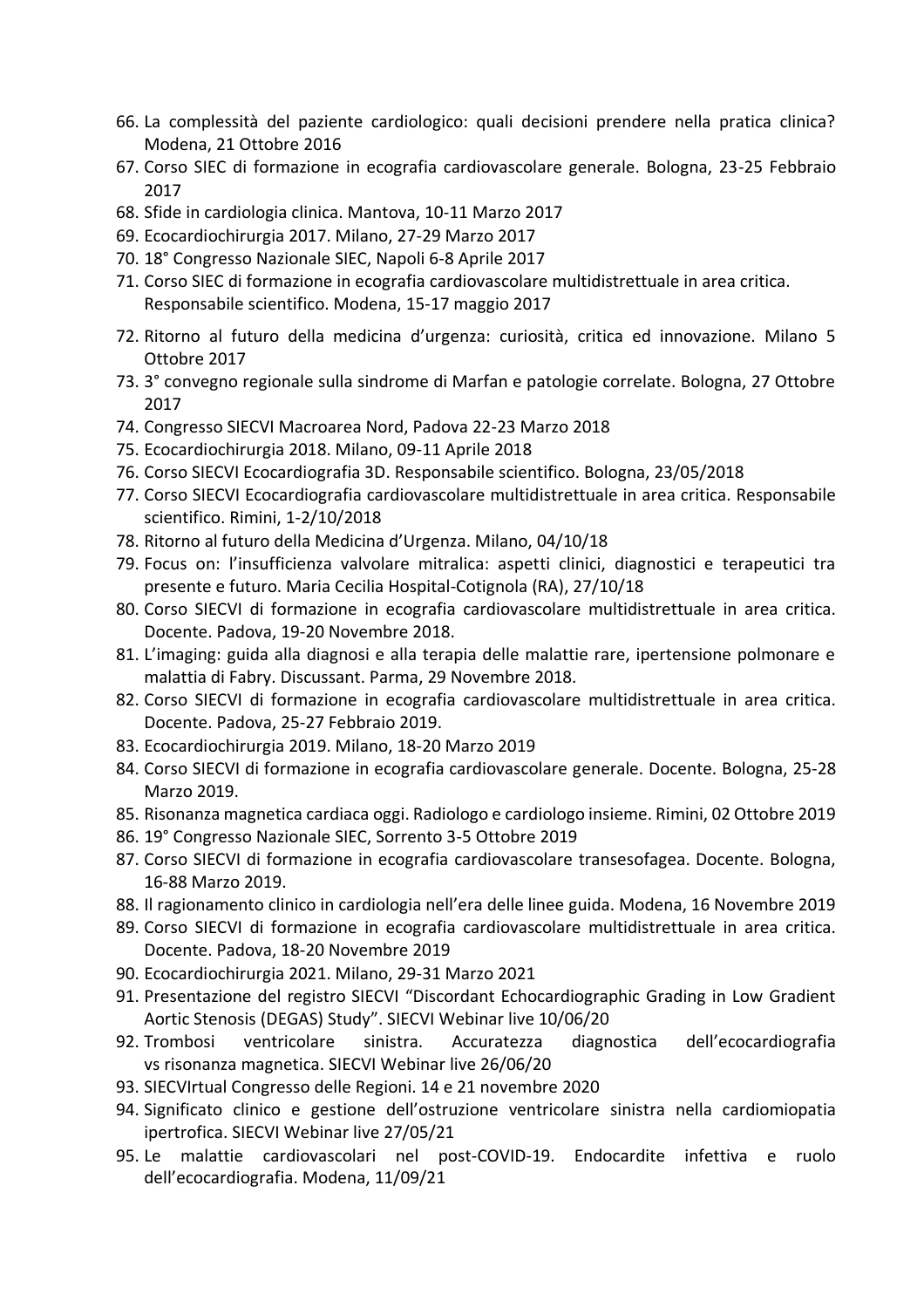- 66. La complessità del paziente cardiologico: quali decisioni prendere nella pratica clinica? Modena, 21 Ottobre 2016
- 67. Corso SIEC di formazione in ecografia cardiovascolare generale. Bologna, 23-25 Febbraio 2017
- 68. Sfide in cardiologia clinica. Mantova, 10-11 Marzo 2017
- 69. Ecocardiochirurgia 2017. Milano, 27-29 Marzo 2017
- 70. 18° Congresso Nazionale SIEC, Napoli 6-8 Aprile 2017
- 71. Corso SIEC di formazione in ecografia cardiovascolare multidistrettuale in area critica. Responsabile scientifico. Modena, 15-17 maggio 2017
- 72. Ritorno al futuro della medicina d'urgenza: curiosità, critica ed innovazione. Milano 5 Ottobre 2017
- 73. 3° convegno regionale sulla sindrome di Marfan e patologie correlate. Bologna, 27 Ottobre 2017
- 74. Congresso SIECVI Macroarea Nord, Padova 22-23 Marzo 2018
- 75. Ecocardiochirurgia 2018. Milano, 09-11 Aprile 2018
- 76. Corso SIECVI Ecocardiografia 3D. Responsabile scientifico. Bologna, 23/05/2018
- 77. Corso SIECVI Ecocardiografia cardiovascolare multidistrettuale in area critica. Responsabile scientifico. Rimini, 1-2/10/2018
- 78. Ritorno al futuro della Medicina d'Urgenza. Milano, 04/10/18
- 79. Focus on: l'insufficienza valvolare mitralica: aspetti clinici, diagnostici e terapeutici tra presente e futuro. Maria Cecilia Hospital-Cotignola (RA), 27/10/18
- 80. Corso SIECVI di formazione in ecografia cardiovascolare multidistrettuale in area critica. Docente. Padova, 19-20 Novembre 2018.
- 81. L'imaging: guida alla diagnosi e alla terapia delle malattie rare, ipertensione polmonare e malattia di Fabry. Discussant. Parma, 29 Novembre 2018.
- 82. Corso SIECVI di formazione in ecografia cardiovascolare multidistrettuale in area critica. Docente. Padova, 25-27 Febbraio 2019.
- 83. Ecocardiochirurgia 2019. Milano, 18-20 Marzo 2019
- 84. Corso SIECVI di formazione in ecografia cardiovascolare generale. Docente. Bologna, 25-28 Marzo 2019.
- 85. Risonanza magnetica cardiaca oggi. Radiologo e cardiologo insieme. Rimini, 02 Ottobre 2019
- 86. 19° Congresso Nazionale SIEC, Sorrento 3-5 Ottobre 2019
- 87. Corso SIECVI di formazione in ecografia cardiovascolare transesofagea. Docente. Bologna, 16-88 Marzo 2019.
- 88. Il ragionamento clinico in cardiologia nell'era delle linee guida. Modena, 16 Novembre 2019
- 89. Corso SIECVI di formazione in ecografia cardiovascolare multidistrettuale in area critica. Docente. Padova, 18-20 Novembre 2019
- 90. Ecocardiochirurgia 2021. Milano, 29-31 Marzo 2021
- 91. Presentazione del registro SIECVI "Discordant Echocardiographic Grading in Low Gradient Aortic Stenosis (DEGAS) Study". SIECVI Webinar live 10/06/20
- 92. Trombosi ventricolare sinistra. Accuratezza diagnostica dell'ecocardiografia vs risonanza magnetica. SIECVI Webinar live 26/06/20
- 93. SIECVIrtual Congresso delle Regioni. 14 e 21 novembre 2020
- 94. Significato clinico e gestione dell'ostruzione ventricolare sinistra nella cardiomiopatia ipertrofica. SIECVI Webinar live 27/05/21
- 95. Le malattie cardiovascolari nel post-COVID-19. Endocardite infettiva e ruolo dell'ecocardiografia. Modena, 11/09/21